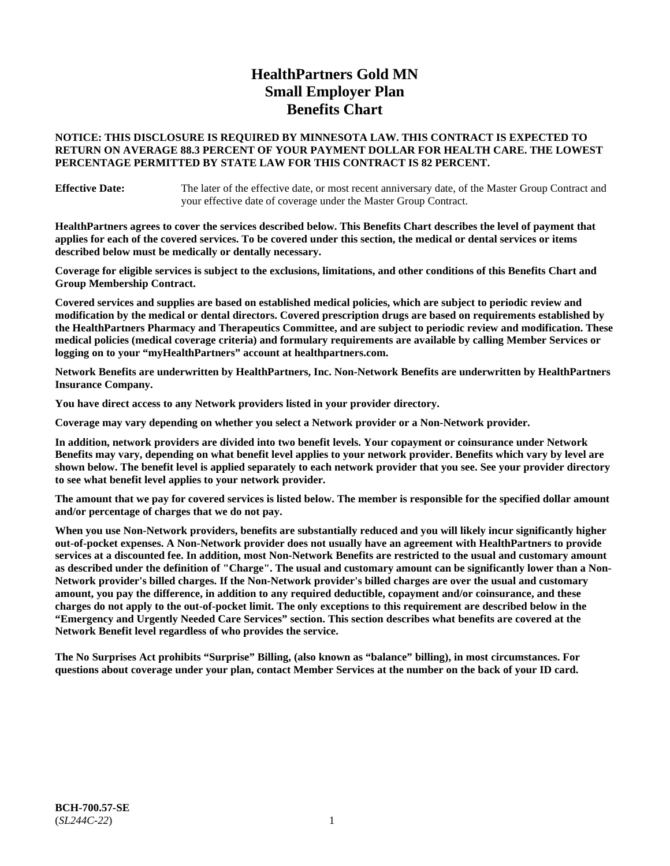# **HealthPartners Gold MN Small Employer Plan Benefits Chart**

## **NOTICE: THIS DISCLOSURE IS REQUIRED BY MINNESOTA LAW. THIS CONTRACT IS EXPECTED TO RETURN ON AVERAGE 88.3 PERCENT OF YOUR PAYMENT DOLLAR FOR HEALTH CARE. THE LOWEST PERCENTAGE PERMITTED BY STATE LAW FOR THIS CONTRACT IS 82 PERCENT.**

**Effective Date:** The later of the effective date, or most recent anniversary date, of the Master Group Contract and your effective date of coverage under the Master Group Contract.

**HealthPartners agrees to cover the services described below. This Benefits Chart describes the level of payment that applies for each of the covered services. To be covered under this section, the medical or dental services or items described below must be medically or dentally necessary.**

**Coverage for eligible services is subject to the exclusions, limitations, and other conditions of this Benefits Chart and Group Membership Contract.**

**Covered services and supplies are based on established medical policies, which are subject to periodic review and modification by the medical or dental directors. Covered prescription drugs are based on requirements established by the HealthPartners Pharmacy and Therapeutics Committee, and are subject to periodic review and modification. These medical policies (medical coverage criteria) and formulary requirements are available by calling Member Services or logging on to your "myHealthPartners" account at [healthpartners.com.](https://www.healthpartners.com/hp/index.html)**

**Network Benefits are underwritten by HealthPartners, Inc. Non-Network Benefits are underwritten by HealthPartners Insurance Company.** 

**You have direct access to any Network providers listed in your provider directory.**

**Coverage may vary depending on whether you select a Network provider or a Non-Network provider.**

**In addition, network providers are divided into two benefit levels. Your copayment or coinsurance under Network Benefits may vary, depending on what benefit level applies to your network provider. Benefits which vary by level are shown below. The benefit level is applied separately to each network provider that you see. See your provider directory to see what benefit level applies to your network provider.**

**The amount that we pay for covered services is listed below. The member is responsible for the specified dollar amount and/or percentage of charges that we do not pay.**

**When you use Non-Network providers, benefits are substantially reduced and you will likely incur significantly higher out-of-pocket expenses. A Non-Network provider does not usually have an agreement with HealthPartners to provide services at a discounted fee. In addition, most Non-Network Benefits are restricted to the usual and customary amount as described under the definition of "Charge". The usual and customary amount can be significantly lower than a Non-Network provider's billed charges. If the Non-Network provider's billed charges are over the usual and customary amount, you pay the difference, in addition to any required deductible, copayment and/or coinsurance, and these charges do not apply to the out-of-pocket limit. The only exceptions to this requirement are described below in the "Emergency and Urgently Needed Care Services" section. This section describes what benefits are covered at the Network Benefit level regardless of who provides the service.**

**The No Surprises Act prohibits "Surprise" Billing, (also known as "balance" billing), in most circumstances. For questions about coverage under your plan, contact Member Services at the number on the back of your ID card.**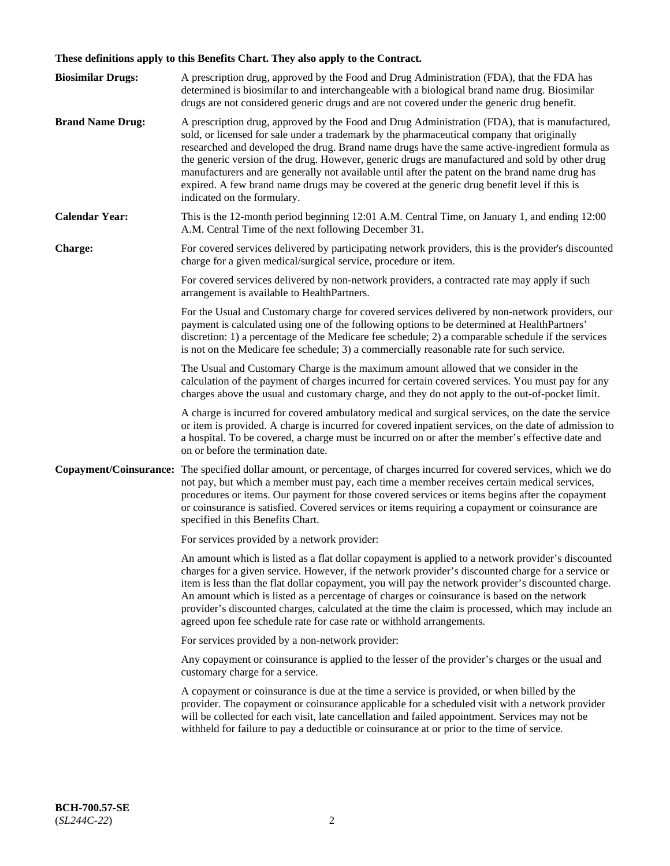# **These definitions apply to this Benefits Chart. They also apply to the Contract.**

| <b>Biosimilar Drugs:</b>      | A prescription drug, approved by the Food and Drug Administration (FDA), that the FDA has<br>determined is biosimilar to and interchangeable with a biological brand name drug. Biosimilar<br>drugs are not considered generic drugs and are not covered under the generic drug benefit.                                                                                                                                                                                                                                                                                                                                           |
|-------------------------------|------------------------------------------------------------------------------------------------------------------------------------------------------------------------------------------------------------------------------------------------------------------------------------------------------------------------------------------------------------------------------------------------------------------------------------------------------------------------------------------------------------------------------------------------------------------------------------------------------------------------------------|
| <b>Brand Name Drug:</b>       | A prescription drug, approved by the Food and Drug Administration (FDA), that is manufactured,<br>sold, or licensed for sale under a trademark by the pharmaceutical company that originally<br>researched and developed the drug. Brand name drugs have the same active-ingredient formula as<br>the generic version of the drug. However, generic drugs are manufactured and sold by other drug<br>manufacturers and are generally not available until after the patent on the brand name drug has<br>expired. A few brand name drugs may be covered at the generic drug benefit level if this is<br>indicated on the formulary. |
| <b>Calendar Year:</b>         | This is the 12-month period beginning 12:01 A.M. Central Time, on January 1, and ending 12:00<br>A.M. Central Time of the next following December 31.                                                                                                                                                                                                                                                                                                                                                                                                                                                                              |
| <b>Charge:</b>                | For covered services delivered by participating network providers, this is the provider's discounted<br>charge for a given medical/surgical service, procedure or item.                                                                                                                                                                                                                                                                                                                                                                                                                                                            |
|                               | For covered services delivered by non-network providers, a contracted rate may apply if such<br>arrangement is available to HealthPartners.                                                                                                                                                                                                                                                                                                                                                                                                                                                                                        |
|                               | For the Usual and Customary charge for covered services delivered by non-network providers, our<br>payment is calculated using one of the following options to be determined at HealthPartners'<br>discretion: 1) a percentage of the Medicare fee schedule; 2) a comparable schedule if the services<br>is not on the Medicare fee schedule; 3) a commercially reasonable rate for such service.                                                                                                                                                                                                                                  |
|                               | The Usual and Customary Charge is the maximum amount allowed that we consider in the<br>calculation of the payment of charges incurred for certain covered services. You must pay for any<br>charges above the usual and customary charge, and they do not apply to the out-of-pocket limit.                                                                                                                                                                                                                                                                                                                                       |
|                               | A charge is incurred for covered ambulatory medical and surgical services, on the date the service<br>or item is provided. A charge is incurred for covered inpatient services, on the date of admission to<br>a hospital. To be covered, a charge must be incurred on or after the member's effective date and<br>on or before the termination date.                                                                                                                                                                                                                                                                              |
| <b>Copayment/Coinsurance:</b> | The specified dollar amount, or percentage, of charges incurred for covered services, which we do<br>not pay, but which a member must pay, each time a member receives certain medical services,<br>procedures or items. Our payment for those covered services or items begins after the copayment<br>or coinsurance is satisfied. Covered services or items requiring a copayment or coinsurance are<br>specified in this Benefits Chart.                                                                                                                                                                                        |
|                               | For services provided by a network provider:                                                                                                                                                                                                                                                                                                                                                                                                                                                                                                                                                                                       |
|                               | An amount which is listed as a flat dollar copayment is applied to a network provider's discounted<br>charges for a given service. However, if the network provider's discounted charge for a service or<br>item is less than the flat dollar copayment, you will pay the network provider's discounted charge.<br>An amount which is listed as a percentage of charges or coinsurance is based on the network<br>provider's discounted charges, calculated at the time the claim is processed, which may include an<br>agreed upon fee schedule rate for case rate or withhold arrangements.                                      |
|                               | For services provided by a non-network provider:                                                                                                                                                                                                                                                                                                                                                                                                                                                                                                                                                                                   |
|                               | Any copayment or coinsurance is applied to the lesser of the provider's charges or the usual and<br>customary charge for a service.                                                                                                                                                                                                                                                                                                                                                                                                                                                                                                |
|                               | A copayment or coinsurance is due at the time a service is provided, or when billed by the<br>provider. The copayment or coinsurance applicable for a scheduled visit with a network provider<br>will be collected for each visit, late cancellation and failed appointment. Services may not be<br>withheld for failure to pay a deductible or coinsurance at or prior to the time of service.                                                                                                                                                                                                                                    |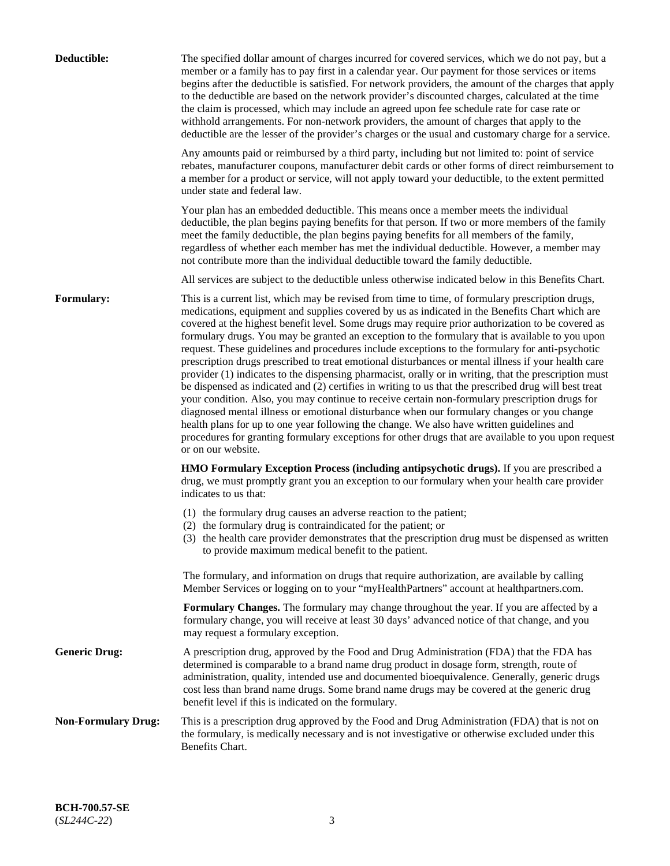| Deductible:                | The specified dollar amount of charges incurred for covered services, which we do not pay, but a<br>member or a family has to pay first in a calendar year. Our payment for those services or items<br>begins after the deductible is satisfied. For network providers, the amount of the charges that apply<br>to the deductible are based on the network provider's discounted charges, calculated at the time<br>the claim is processed, which may include an agreed upon fee schedule rate for case rate or<br>withhold arrangements. For non-network providers, the amount of charges that apply to the<br>deductible are the lesser of the provider's charges or the usual and customary charge for a service.                                                                                                                                                                                                                                                                                                                                                                                                                                                                                                                                             |
|----------------------------|------------------------------------------------------------------------------------------------------------------------------------------------------------------------------------------------------------------------------------------------------------------------------------------------------------------------------------------------------------------------------------------------------------------------------------------------------------------------------------------------------------------------------------------------------------------------------------------------------------------------------------------------------------------------------------------------------------------------------------------------------------------------------------------------------------------------------------------------------------------------------------------------------------------------------------------------------------------------------------------------------------------------------------------------------------------------------------------------------------------------------------------------------------------------------------------------------------------------------------------------------------------|
|                            | Any amounts paid or reimbursed by a third party, including but not limited to: point of service<br>rebates, manufacturer coupons, manufacturer debit cards or other forms of direct reimbursement to<br>a member for a product or service, will not apply toward your deductible, to the extent permitted<br>under state and federal law.                                                                                                                                                                                                                                                                                                                                                                                                                                                                                                                                                                                                                                                                                                                                                                                                                                                                                                                        |
|                            | Your plan has an embedded deductible. This means once a member meets the individual<br>deductible, the plan begins paying benefits for that person. If two or more members of the family<br>meet the family deductible, the plan begins paying benefits for all members of the family,<br>regardless of whether each member has met the individual deductible. However, a member may<br>not contribute more than the individual deductible toward the family deductible.                                                                                                                                                                                                                                                                                                                                                                                                                                                                                                                                                                                                                                                                                                                                                                                         |
|                            | All services are subject to the deductible unless otherwise indicated below in this Benefits Chart.                                                                                                                                                                                                                                                                                                                                                                                                                                                                                                                                                                                                                                                                                                                                                                                                                                                                                                                                                                                                                                                                                                                                                              |
| Formulary:                 | This is a current list, which may be revised from time to time, of formulary prescription drugs,<br>medications, equipment and supplies covered by us as indicated in the Benefits Chart which are<br>covered at the highest benefit level. Some drugs may require prior authorization to be covered as<br>formulary drugs. You may be granted an exception to the formulary that is available to you upon<br>request. These guidelines and procedures include exceptions to the formulary for anti-psychotic<br>prescription drugs prescribed to treat emotional disturbances or mental illness if your health care<br>provider (1) indicates to the dispensing pharmacist, orally or in writing, that the prescription must<br>be dispensed as indicated and (2) certifies in writing to us that the prescribed drug will best treat<br>your condition. Also, you may continue to receive certain non-formulary prescription drugs for<br>diagnosed mental illness or emotional disturbance when our formulary changes or you change<br>health plans for up to one year following the change. We also have written guidelines and<br>procedures for granting formulary exceptions for other drugs that are available to you upon request<br>or on our website. |
|                            | <b>HMO Formulary Exception Process (including antipsychotic drugs).</b> If you are prescribed a<br>drug, we must promptly grant you an exception to our formulary when your health care provider<br>indicates to us that:                                                                                                                                                                                                                                                                                                                                                                                                                                                                                                                                                                                                                                                                                                                                                                                                                                                                                                                                                                                                                                        |
|                            | (1) the formulary drug causes an adverse reaction to the patient;<br>(2) the formulary drug is contraindicated for the patient; or<br>(3) the health care provider demonstrates that the prescription drug must be dispensed as written<br>to provide maximum medical benefit to the patient.                                                                                                                                                                                                                                                                                                                                                                                                                                                                                                                                                                                                                                                                                                                                                                                                                                                                                                                                                                    |
|                            | The formulary, and information on drugs that require authorization, are available by calling<br>Member Services or logging on to your "myHealthPartners" account at healthpartners.com.                                                                                                                                                                                                                                                                                                                                                                                                                                                                                                                                                                                                                                                                                                                                                                                                                                                                                                                                                                                                                                                                          |
|                            | Formulary Changes. The formulary may change throughout the year. If you are affected by a<br>formulary change, you will receive at least 30 days' advanced notice of that change, and you<br>may request a formulary exception.                                                                                                                                                                                                                                                                                                                                                                                                                                                                                                                                                                                                                                                                                                                                                                                                                                                                                                                                                                                                                                  |
| <b>Generic Drug:</b>       | A prescription drug, approved by the Food and Drug Administration (FDA) that the FDA has<br>determined is comparable to a brand name drug product in dosage form, strength, route of<br>administration, quality, intended use and documented bioequivalence. Generally, generic drugs<br>cost less than brand name drugs. Some brand name drugs may be covered at the generic drug<br>benefit level if this is indicated on the formulary.                                                                                                                                                                                                                                                                                                                                                                                                                                                                                                                                                                                                                                                                                                                                                                                                                       |
| <b>Non-Formulary Drug:</b> | This is a prescription drug approved by the Food and Drug Administration (FDA) that is not on<br>the formulary, is medically necessary and is not investigative or otherwise excluded under this<br>Benefits Chart.                                                                                                                                                                                                                                                                                                                                                                                                                                                                                                                                                                                                                                                                                                                                                                                                                                                                                                                                                                                                                                              |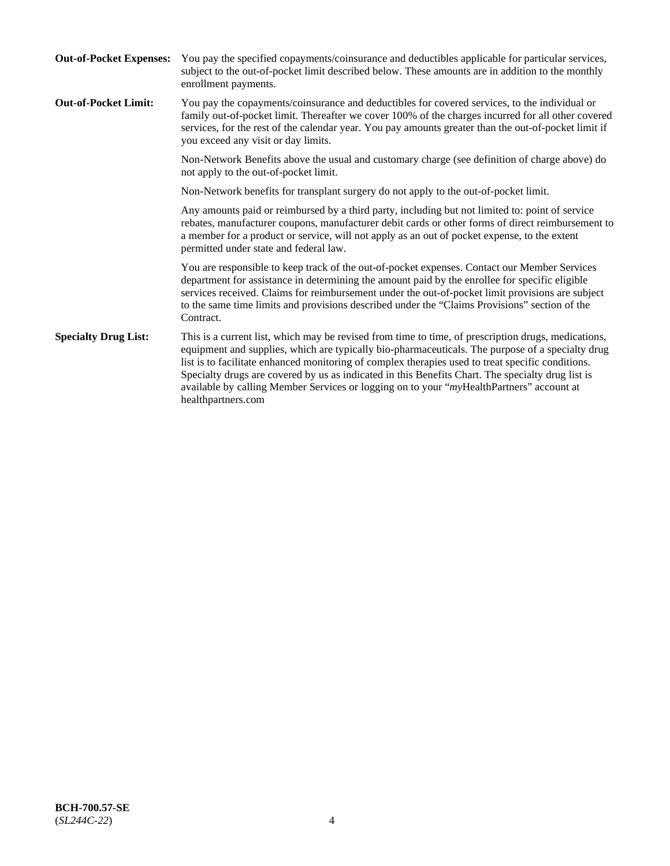| <b>Out-of-Pocket Expenses:</b> | You pay the specified copayments/coinsurance and deductibles applicable for particular services,<br>subject to the out-of-pocket limit described below. These amounts are in addition to the monthly<br>enrollment payments.                                                                                                                                                                                                                                                                                                        |
|--------------------------------|-------------------------------------------------------------------------------------------------------------------------------------------------------------------------------------------------------------------------------------------------------------------------------------------------------------------------------------------------------------------------------------------------------------------------------------------------------------------------------------------------------------------------------------|
| <b>Out-of-Pocket Limit:</b>    | You pay the copayments/coinsurance and deductibles for covered services, to the individual or<br>family out-of-pocket limit. Thereafter we cover 100% of the charges incurred for all other covered<br>services, for the rest of the calendar year. You pay amounts greater than the out-of-pocket limit if<br>you exceed any visit or day limits.                                                                                                                                                                                  |
|                                | Non-Network Benefits above the usual and customary charge (see definition of charge above) do<br>not apply to the out-of-pocket limit.                                                                                                                                                                                                                                                                                                                                                                                              |
|                                | Non-Network benefits for transplant surgery do not apply to the out-of-pocket limit.                                                                                                                                                                                                                                                                                                                                                                                                                                                |
|                                | Any amounts paid or reimbursed by a third party, including but not limited to: point of service<br>rebates, manufacturer coupons, manufacturer debit cards or other forms of direct reimbursement to<br>a member for a product or service, will not apply as an out of pocket expense, to the extent<br>permitted under state and federal law.                                                                                                                                                                                      |
|                                | You are responsible to keep track of the out-of-pocket expenses. Contact our Member Services<br>department for assistance in determining the amount paid by the enrollee for specific eligible<br>services received. Claims for reimbursement under the out-of-pocket limit provisions are subject<br>to the same time limits and provisions described under the "Claims Provisions" section of the<br>Contract.                                                                                                                    |
| <b>Specialty Drug List:</b>    | This is a current list, which may be revised from time to time, of prescription drugs, medications,<br>equipment and supplies, which are typically bio-pharmaceuticals. The purpose of a specialty drug<br>list is to facilitate enhanced monitoring of complex therapies used to treat specific conditions.<br>Specialty drugs are covered by us as indicated in this Benefits Chart. The specialty drug list is<br>available by calling Member Services or logging on to your "myHealthPartners" account at<br>healthpartners.com |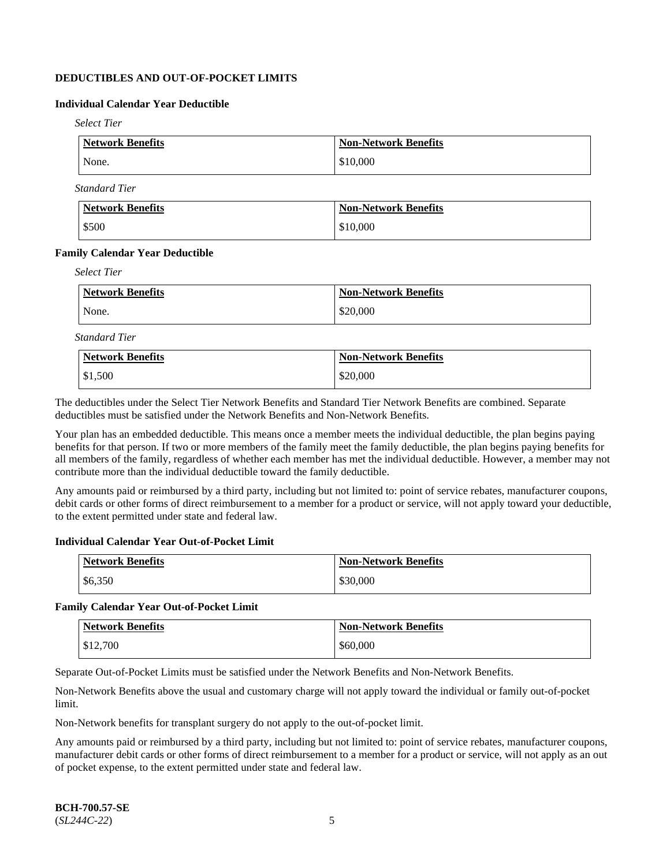## **DEDUCTIBLES AND OUT-OF-POCKET LIMITS**

## **Individual Calendar Year Deductible**

*Select Tier*

| <b>Network Benefits</b> | <b>Non-Network Benefits</b> |
|-------------------------|-----------------------------|
| None.                   | \$10,000                    |

*Standard Tier*

| Network Benefits | <b>Non-Network Benefits</b> |
|------------------|-----------------------------|
| \$500            | \$10,000                    |

### **Family Calendar Year Deductible**

*Select Tier*

| <b>Network Benefits</b> | <b>Non-Network Benefits</b> |
|-------------------------|-----------------------------|
| None.                   | \$20,000                    |

*Standard Tier*

| <b>Network Benefits</b> | <b>Non-Network Benefits</b> |
|-------------------------|-----------------------------|
| $\frac{$1,500}{}$       | \$20,000                    |

The deductibles under the Select Tier Network Benefits and Standard Tier Network Benefits are combined. Separate deductibles must be satisfied under the Network Benefits and Non-Network Benefits.

Your plan has an embedded deductible. This means once a member meets the individual deductible, the plan begins paying benefits for that person. If two or more members of the family meet the family deductible, the plan begins paying benefits for all members of the family, regardless of whether each member has met the individual deductible. However, a member may not contribute more than the individual deductible toward the family deductible.

Any amounts paid or reimbursed by a third party, including but not limited to: point of service rebates, manufacturer coupons, debit cards or other forms of direct reimbursement to a member for a product or service, will not apply toward your deductible, to the extent permitted under state and federal law.

#### **Individual Calendar Year Out-of-Pocket Limit**

| Network Benefits | <b>Non-Network Benefits</b> |
|------------------|-----------------------------|
| \$6,350          | \$30,000                    |

#### **Family Calendar Year Out-of-Pocket Limit**

| <b>Network Benefits</b> | <b>Non-Network Benefits</b> |
|-------------------------|-----------------------------|
| \$12,700                | \$60,000                    |

Separate Out-of-Pocket Limits must be satisfied under the Network Benefits and Non-Network Benefits.

Non-Network Benefits above the usual and customary charge will not apply toward the individual or family out-of-pocket limit.

Non-Network benefits for transplant surgery do not apply to the out-of-pocket limit.

Any amounts paid or reimbursed by a third party, including but not limited to: point of service rebates, manufacturer coupons, manufacturer debit cards or other forms of direct reimbursement to a member for a product or service, will not apply as an out of pocket expense, to the extent permitted under state and federal law.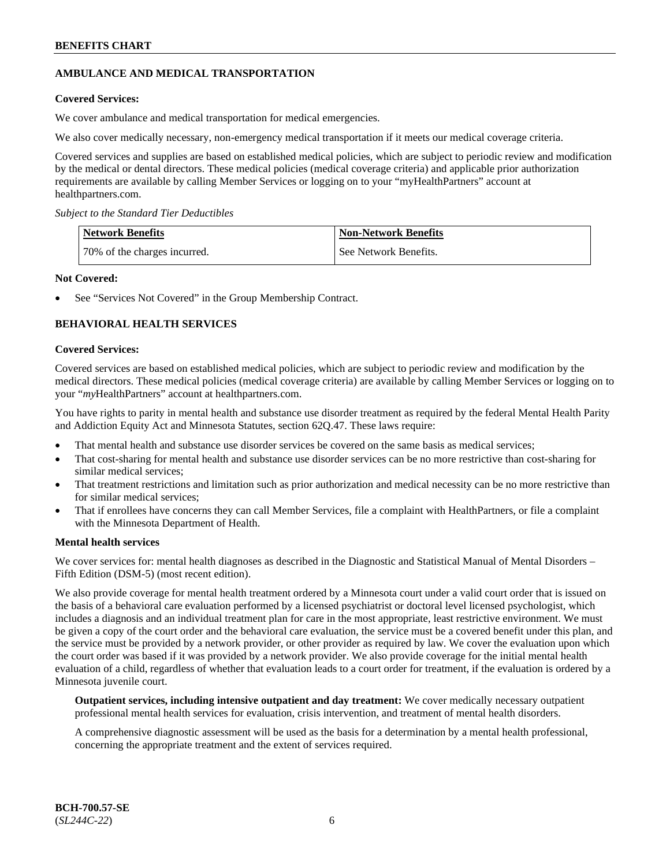## **AMBULANCE AND MEDICAL TRANSPORTATION**

## **Covered Services:**

We cover ambulance and medical transportation for medical emergencies.

We also cover medically necessary, non-emergency medical transportation if it meets our medical coverage criteria.

Covered services and supplies are based on established medical policies, which are subject to periodic review and modification by the medical or dental directors. These medical policies (medical coverage criteria) and applicable prior authorization requirements are available by calling Member Services or logging on to your "myHealthPartners" account at [healthpartners.com.](https://www.healthpartners.com/hp/index.html)

*Subject to the Standard Tier Deductibles*

| <b>Network Benefits</b>      | <b>Non-Network Benefits</b> |
|------------------------------|-----------------------------|
| 70% of the charges incurred. | See Network Benefits.       |

### **Not Covered:**

See "Services Not Covered" in the Group Membership Contract.

## **BEHAVIORAL HEALTH SERVICES**

### **Covered Services:**

Covered services are based on established medical policies, which are subject to periodic review and modification by the medical directors. These medical policies (medical coverage criteria) are available by calling Member Services or logging on to your "*my*HealthPartners" account at [healthpartners.com.](http://www.healthpartners.com/)

You have rights to parity in mental health and substance use disorder treatment as required by the federal Mental Health Parity and Addiction Equity Act and Minnesota Statutes, section 62Q.47. These laws require:

- That mental health and substance use disorder services be covered on the same basis as medical services;
- That cost-sharing for mental health and substance use disorder services can be no more restrictive than cost-sharing for similar medical services;
- That treatment restrictions and limitation such as prior authorization and medical necessity can be no more restrictive than for similar medical services;
- That if enrollees have concerns they can call Member Services, file a complaint with HealthPartners, or file a complaint with the Minnesota Department of Health.

#### **Mental health services**

We cover services for: mental health diagnoses as described in the Diagnostic and Statistical Manual of Mental Disorders – Fifth Edition (DSM-5) (most recent edition).

We also provide coverage for mental health treatment ordered by a Minnesota court under a valid court order that is issued on the basis of a behavioral care evaluation performed by a licensed psychiatrist or doctoral level licensed psychologist, which includes a diagnosis and an individual treatment plan for care in the most appropriate, least restrictive environment. We must be given a copy of the court order and the behavioral care evaluation, the service must be a covered benefit under this plan, and the service must be provided by a network provider, or other provider as required by law. We cover the evaluation upon which the court order was based if it was provided by a network provider. We also provide coverage for the initial mental health evaluation of a child, regardless of whether that evaluation leads to a court order for treatment, if the evaluation is ordered by a Minnesota juvenile court.

**Outpatient services, including intensive outpatient and day treatment:** We cover medically necessary outpatient professional mental health services for evaluation, crisis intervention, and treatment of mental health disorders.

A comprehensive diagnostic assessment will be used as the basis for a determination by a mental health professional, concerning the appropriate treatment and the extent of services required.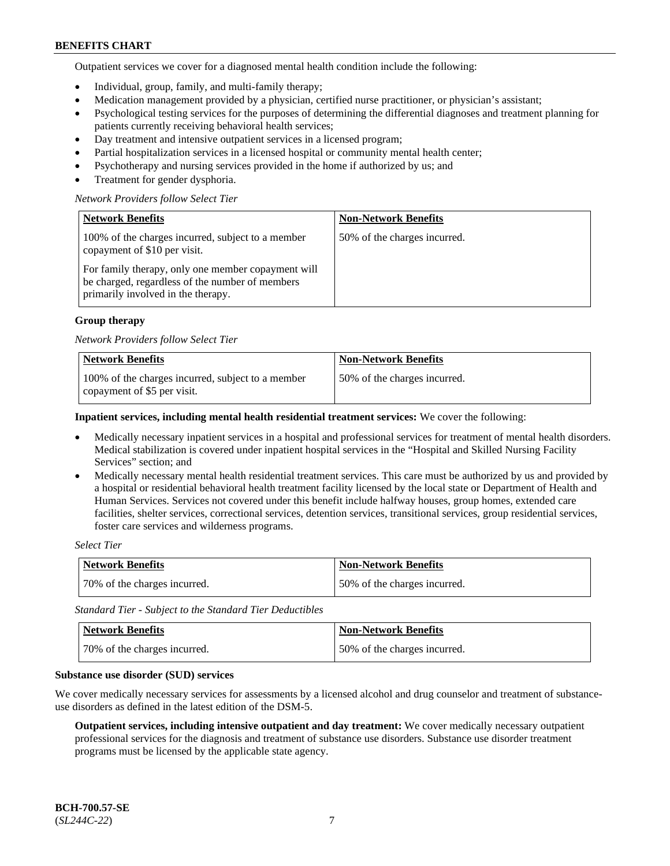Outpatient services we cover for a diagnosed mental health condition include the following:

- Individual, group, family, and multi-family therapy;
- Medication management provided by a physician, certified nurse practitioner, or physician's assistant;
- Psychological testing services for the purposes of determining the differential diagnoses and treatment planning for patients currently receiving behavioral health services;
- Day treatment and intensive outpatient services in a licensed program;
- Partial hospitalization services in a licensed hospital or community mental health center;
- Psychotherapy and nursing services provided in the home if authorized by us; and
- Treatment for gender dysphoria.

### *Network Providers follow Select Tier*

| <b>Network Benefits</b>                                                                                                                     | <b>Non-Network Benefits</b>  |
|---------------------------------------------------------------------------------------------------------------------------------------------|------------------------------|
| 100% of the charges incurred, subject to a member<br>copayment of \$10 per visit.                                                           | 50% of the charges incurred. |
| For family therapy, only one member copayment will<br>be charged, regardless of the number of members<br>primarily involved in the therapy. |                              |

### **Group therapy**

#### *Network Providers follow Select Tier*

| <b>Network Benefits</b>                                                          | <b>Non-Network Benefits</b>  |
|----------------------------------------------------------------------------------|------------------------------|
| 100% of the charges incurred, subject to a member<br>copayment of \$5 per visit. | 50% of the charges incurred. |

#### **Inpatient services, including mental health residential treatment services:** We cover the following:

- Medically necessary inpatient services in a hospital and professional services for treatment of mental health disorders. Medical stabilization is covered under inpatient hospital services in the "Hospital and Skilled Nursing Facility Services" section; and
- Medically necessary mental health residential treatment services. This care must be authorized by us and provided by a hospital or residential behavioral health treatment facility licensed by the local state or Department of Health and Human Services. Services not covered under this benefit include halfway houses, group homes, extended care facilities, shelter services, correctional services, detention services, transitional services, group residential services, foster care services and wilderness programs.

### *Select Tier*

| <b>Network Benefits</b>      | <b>Non-Network Benefits</b>  |
|------------------------------|------------------------------|
| 70% of the charges incurred. | 50% of the charges incurred. |

*Standard Tier - Subject to the Standard Tier Deductibles*

| <b>Network Benefits</b>      | <b>Non-Network Benefits</b>  |
|------------------------------|------------------------------|
| 70% of the charges incurred. | 50% of the charges incurred. |

#### **Substance use disorder (SUD) services**

We cover medically necessary services for assessments by a licensed alcohol and drug counselor and treatment of substanceuse disorders as defined in the latest edition of the DSM-5.

**Outpatient services, including intensive outpatient and day treatment:** We cover medically necessary outpatient professional services for the diagnosis and treatment of substance use disorders. Substance use disorder treatment programs must be licensed by the applicable state agency.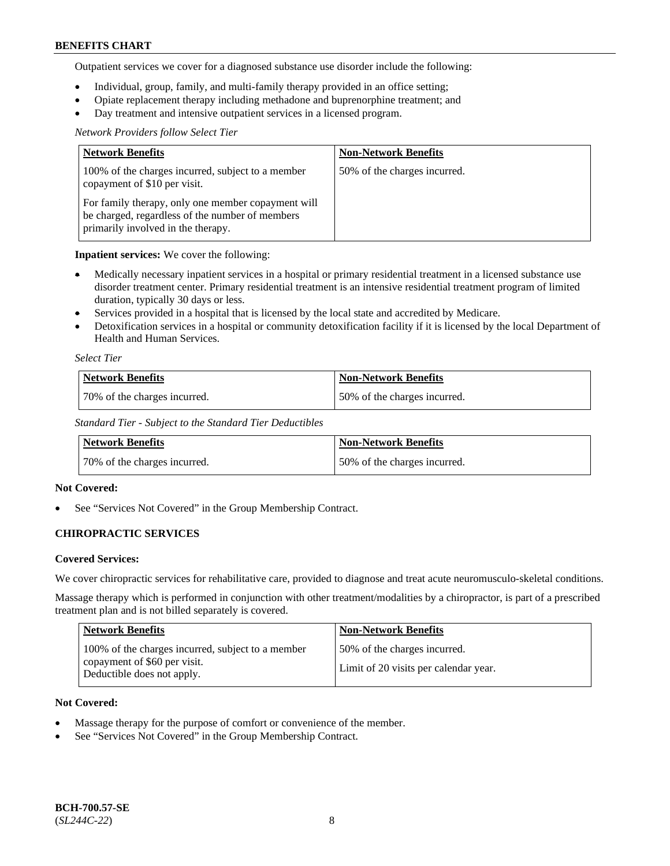Outpatient services we cover for a diagnosed substance use disorder include the following:

- Individual, group, family, and multi-family therapy provided in an office setting;
- Opiate replacement therapy including methadone and buprenorphine treatment; and
- Day treatment and intensive outpatient services in a licensed program.

## *Network Providers follow Select Tier*

| <b>Network Benefits</b>                                                                                                                     | <b>Non-Network Benefits</b>  |
|---------------------------------------------------------------------------------------------------------------------------------------------|------------------------------|
| 100% of the charges incurred, subject to a member<br>copayment of \$10 per visit.                                                           | 50% of the charges incurred. |
| For family therapy, only one member copayment will<br>be charged, regardless of the number of members<br>primarily involved in the therapy. |                              |

## **Inpatient services:** We cover the following:

- Medically necessary inpatient services in a hospital or primary residential treatment in a licensed substance use disorder treatment center. Primary residential treatment is an intensive residential treatment program of limited duration, typically 30 days or less.
- Services provided in a hospital that is licensed by the local state and accredited by Medicare.
- Detoxification services in a hospital or community detoxification facility if it is licensed by the local Department of Health and Human Services.

### *Select Tier*

| Network Benefits             | <b>Non-Network Benefits</b>  |
|------------------------------|------------------------------|
| 70% of the charges incurred. | 50% of the charges incurred. |

*Standard Tier - Subject to the Standard Tier Deductibles*

| Network Benefits             | <b>Non-Network Benefits</b>  |
|------------------------------|------------------------------|
| 70% of the charges incurred. | 50% of the charges incurred. |

## **Not Covered:**

See "Services Not Covered" in the Group Membership Contract.

## **CHIROPRACTIC SERVICES**

## **Covered Services:**

We cover chiropractic services for rehabilitative care, provided to diagnose and treat acute neuromusculo-skeletal conditions.

Massage therapy which is performed in conjunction with other treatment/modalities by a chiropractor, is part of a prescribed treatment plan and is not billed separately is covered.

| <b>Network Benefits</b>                                                                                         | <b>Non-Network Benefits</b>                                            |
|-----------------------------------------------------------------------------------------------------------------|------------------------------------------------------------------------|
| 100% of the charges incurred, subject to a member<br>copayment of \$60 per visit.<br>Deductible does not apply. | 150% of the charges incurred.<br>Limit of 20 visits per calendar year. |

## **Not Covered:**

- Massage therapy for the purpose of comfort or convenience of the member.
- See "Services Not Covered" in the Group Membership Contract.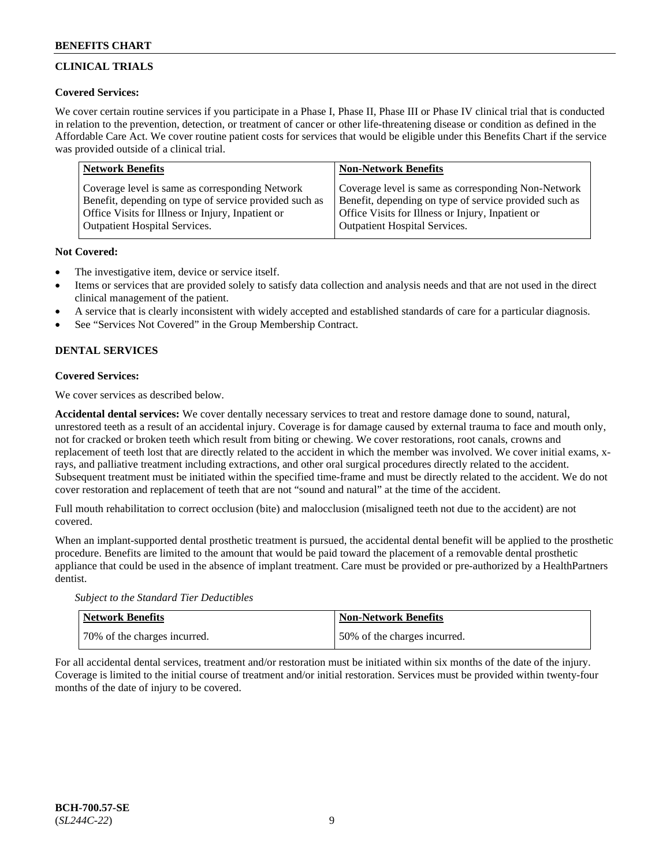## **CLINICAL TRIALS**

## **Covered Services:**

We cover certain routine services if you participate in a Phase I, Phase II, Phase III or Phase IV clinical trial that is conducted in relation to the prevention, detection, or treatment of cancer or other life-threatening disease or condition as defined in the Affordable Care Act. We cover routine patient costs for services that would be eligible under this Benefits Chart if the service was provided outside of a clinical trial.

| <b>Network Benefits</b>                                | <b>Non-Network Benefits</b>                            |
|--------------------------------------------------------|--------------------------------------------------------|
| Coverage level is same as corresponding Network        | Coverage level is same as corresponding Non-Network    |
| Benefit, depending on type of service provided such as | Benefit, depending on type of service provided such as |
| Office Visits for Illness or Injury, Inpatient or      | Office Visits for Illness or Injury, Inpatient or      |
| <b>Outpatient Hospital Services.</b>                   | <b>Outpatient Hospital Services.</b>                   |

## **Not Covered:**

- The investigative item, device or service itself.
- Items or services that are provided solely to satisfy data collection and analysis needs and that are not used in the direct clinical management of the patient.
- A service that is clearly inconsistent with widely accepted and established standards of care for a particular diagnosis.
- See "Services Not Covered" in the Group Membership Contract.

## **DENTAL SERVICES**

## **Covered Services:**

We cover services as described below.

**Accidental dental services:** We cover dentally necessary services to treat and restore damage done to sound, natural, unrestored teeth as a result of an accidental injury. Coverage is for damage caused by external trauma to face and mouth only, not for cracked or broken teeth which result from biting or chewing. We cover restorations, root canals, crowns and replacement of teeth lost that are directly related to the accident in which the member was involved. We cover initial exams, xrays, and palliative treatment including extractions, and other oral surgical procedures directly related to the accident. Subsequent treatment must be initiated within the specified time-frame and must be directly related to the accident. We do not cover restoration and replacement of teeth that are not "sound and natural" at the time of the accident.

Full mouth rehabilitation to correct occlusion (bite) and malocclusion (misaligned teeth not due to the accident) are not covered.

When an implant-supported dental prosthetic treatment is pursued, the accidental dental benefit will be applied to the prosthetic procedure. Benefits are limited to the amount that would be paid toward the placement of a removable dental prosthetic appliance that could be used in the absence of implant treatment. Care must be provided or pre-authorized by a HealthPartners dentist.

*Subject to the Standard Tier Deductibles*

| <b>Network Benefits</b>      | Non-Network Benefits         |
|------------------------------|------------------------------|
| 70% of the charges incurred. | 50% of the charges incurred. |

For all accidental dental services, treatment and/or restoration must be initiated within six months of the date of the injury. Coverage is limited to the initial course of treatment and/or initial restoration. Services must be provided within twenty-four months of the date of injury to be covered.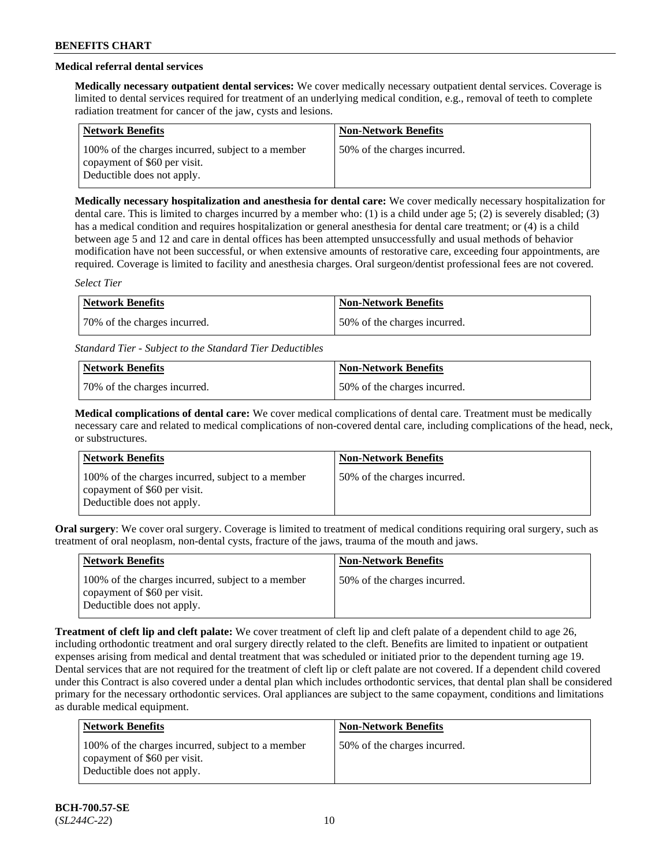## **Medical referral dental services**

**Medically necessary outpatient dental services:** We cover medically necessary outpatient dental services. Coverage is limited to dental services required for treatment of an underlying medical condition, e.g., removal of teeth to complete radiation treatment for cancer of the jaw, cysts and lesions.

| <b>Network Benefits</b>                                                                                         | <b>Non-Network Benefits</b>  |
|-----------------------------------------------------------------------------------------------------------------|------------------------------|
| 100% of the charges incurred, subject to a member<br>copayment of \$60 per visit.<br>Deductible does not apply. | 50% of the charges incurred. |

**Medically necessary hospitalization and anesthesia for dental care:** We cover medically necessary hospitalization for dental care. This is limited to charges incurred by a member who: (1) is a child under age 5; (2) is severely disabled; (3) has a medical condition and requires hospitalization or general anesthesia for dental care treatment; or (4) is a child between age 5 and 12 and care in dental offices has been attempted unsuccessfully and usual methods of behavior modification have not been successful, or when extensive amounts of restorative care, exceeding four appointments, are required. Coverage is limited to facility and anesthesia charges. Oral surgeon/dentist professional fees are not covered.

*Select Tier*

| Network Benefits             | Non-Network Benefits         |
|------------------------------|------------------------------|
| 70% of the charges incurred. | 50% of the charges incurred. |

*Standard Tier - Subject to the Standard Tier Deductibles*

| Network Benefits             | <b>Non-Network Benefits</b>   |
|------------------------------|-------------------------------|
| 70% of the charges incurred. | 150% of the charges incurred. |

**Medical complications of dental care:** We cover medical complications of dental care. Treatment must be medically necessary care and related to medical complications of non-covered dental care, including complications of the head, neck, or substructures.

| <b>Network Benefits</b>                                                                                         | <b>Non-Network Benefits</b>  |
|-----------------------------------------------------------------------------------------------------------------|------------------------------|
| 100% of the charges incurred, subject to a member<br>copayment of \$60 per visit.<br>Deductible does not apply. | 50% of the charges incurred. |

**Oral surgery**: We cover oral surgery. Coverage is limited to treatment of medical conditions requiring oral surgery, such as treatment of oral neoplasm, non-dental cysts, fracture of the jaws, trauma of the mouth and jaws.

| Network Benefits                                                                                                | <b>Non-Network Benefits</b>  |
|-----------------------------------------------------------------------------------------------------------------|------------------------------|
| 100% of the charges incurred, subject to a member<br>copayment of \$60 per visit.<br>Deductible does not apply. | 50% of the charges incurred. |

**Treatment of cleft lip and cleft palate:** We cover treatment of cleft lip and cleft palate of a dependent child to age 26, including orthodontic treatment and oral surgery directly related to the cleft. Benefits are limited to inpatient or outpatient expenses arising from medical and dental treatment that was scheduled or initiated prior to the dependent turning age 19. Dental services that are not required for the treatment of cleft lip or cleft palate are not covered. If a dependent child covered under this Contract is also covered under a dental plan which includes orthodontic services, that dental plan shall be considered primary for the necessary orthodontic services. Oral appliances are subject to the same copayment, conditions and limitations as durable medical equipment.

| <b>Network Benefits</b>                                                                                         | <b>Non-Network Benefits</b>  |
|-----------------------------------------------------------------------------------------------------------------|------------------------------|
| 100% of the charges incurred, subject to a member<br>copayment of \$60 per visit.<br>Deductible does not apply. | 50% of the charges incurred. |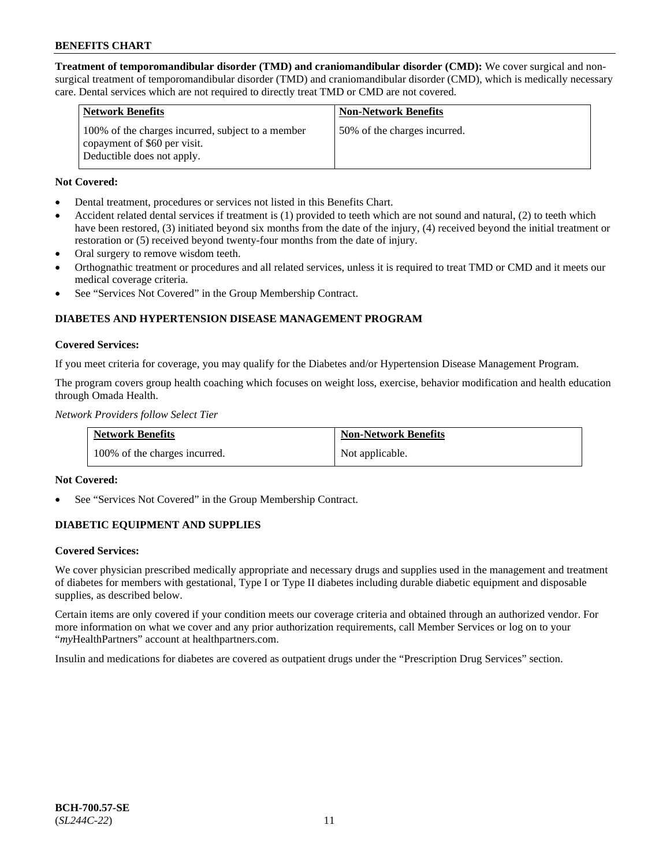**Treatment of temporomandibular disorder (TMD) and craniomandibular disorder (CMD):** We cover surgical and nonsurgical treatment of temporomandibular disorder (TMD) and craniomandibular disorder (CMD), which is medically necessary care. Dental services which are not required to directly treat TMD or CMD are not covered.

| <b>Network Benefits</b>                                                                                         | <b>Non-Network Benefits</b>  |
|-----------------------------------------------------------------------------------------------------------------|------------------------------|
| 100% of the charges incurred, subject to a member<br>copayment of \$60 per visit.<br>Deductible does not apply. | 50% of the charges incurred. |

## **Not Covered:**

- Dental treatment, procedures or services not listed in this Benefits Chart.
- Accident related dental services if treatment is (1) provided to teeth which are not sound and natural, (2) to teeth which have been restored, (3) initiated beyond six months from the date of the injury, (4) received beyond the initial treatment or restoration or (5) received beyond twenty-four months from the date of injury.
- Oral surgery to remove wisdom teeth.
- Orthognathic treatment or procedures and all related services, unless it is required to treat TMD or CMD and it meets our medical coverage criteria.
- See "Services Not Covered" in the Group Membership Contract.

## **DIABETES AND HYPERTENSION DISEASE MANAGEMENT PROGRAM**

### **Covered Services:**

If you meet criteria for coverage, you may qualify for the Diabetes and/or Hypertension Disease Management Program.

The program covers group health coaching which focuses on weight loss, exercise, behavior modification and health education through Omada Health.

*Network Providers follow Select Tier*

| <b>Network Benefits</b>       | <b>Non-Network Benefits</b> |
|-------------------------------|-----------------------------|
| 100% of the charges incurred. | Not applicable.             |

## **Not Covered:**

See "Services Not Covered" in the Group Membership Contract.

## **DIABETIC EQUIPMENT AND SUPPLIES**

## **Covered Services:**

We cover physician prescribed medically appropriate and necessary drugs and supplies used in the management and treatment of diabetes for members with gestational, Type I or Type II diabetes including durable diabetic equipment and disposable supplies, as described below.

Certain items are only covered if your condition meets our coverage criteria and obtained through an authorized vendor. For more information on what we cover and any prior authorization requirements, call Member Services or log on to your "*my*HealthPartners" account at [healthpartners.com.](http://www.healthpartners.com/)

Insulin and medications for diabetes are covered as outpatient drugs under the "Prescription Drug Services" section.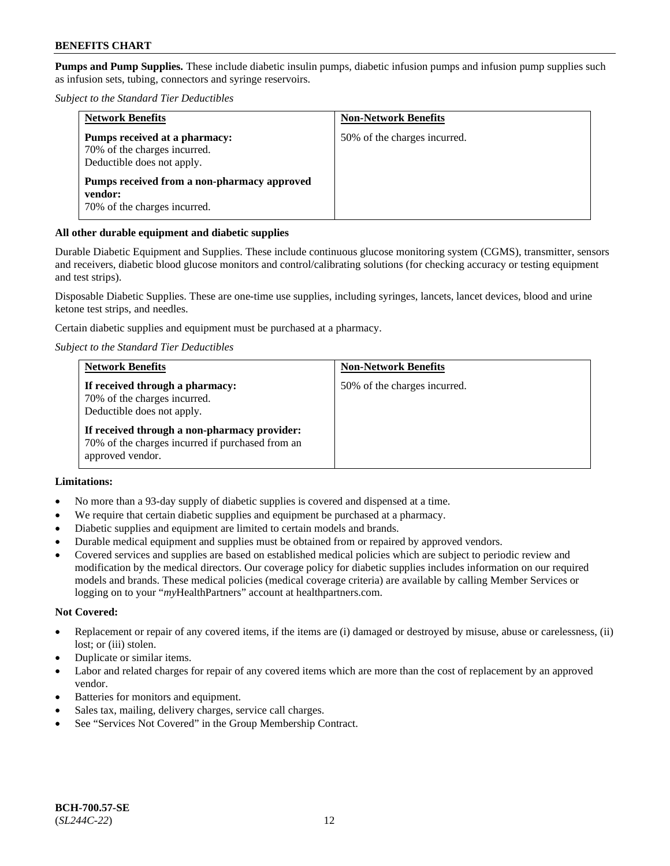**Pumps and Pump Supplies.** These include diabetic insulin pumps, diabetic infusion pumps and infusion pump supplies such as infusion sets, tubing, connectors and syringe reservoirs.

*Subject to the Standard Tier Deductibles*

| <b>Network Benefits</b>                                                                     | <b>Non-Network Benefits</b>  |
|---------------------------------------------------------------------------------------------|------------------------------|
| Pumps received at a pharmacy:<br>70% of the charges incurred.<br>Deductible does not apply. | 50% of the charges incurred. |
| Pumps received from a non-pharmacy approved<br>vendor:<br>70% of the charges incurred.      |                              |

### **All other durable equipment and diabetic supplies**

Durable Diabetic Equipment and Supplies. These include continuous glucose monitoring system (CGMS), transmitter, sensors and receivers, diabetic blood glucose monitors and control/calibrating solutions (for checking accuracy or testing equipment and test strips).

Disposable Diabetic Supplies. These are one-time use supplies, including syringes, lancets, lancet devices, blood and urine ketone test strips, and needles.

Certain diabetic supplies and equipment must be purchased at a pharmacy.

*Subject to the Standard Tier Deductibles*

| <b>Network Benefits</b>                                                                                              | <b>Non-Network Benefits</b>  |
|----------------------------------------------------------------------------------------------------------------------|------------------------------|
| If received through a pharmacy:<br>70% of the charges incurred.<br>Deductible does not apply.                        | 50% of the charges incurred. |
| If received through a non-pharmacy provider:<br>70% of the charges incurred if purchased from an<br>approved vendor. |                              |

## **Limitations:**

- No more than a 93-day supply of diabetic supplies is covered and dispensed at a time.
- We require that certain diabetic supplies and equipment be purchased at a pharmacy.
- Diabetic supplies and equipment are limited to certain models and brands.
- Durable medical equipment and supplies must be obtained from or repaired by approved vendors.
- Covered services and supplies are based on established medical policies which are subject to periodic review and modification by the medical directors. Our coverage policy for diabetic supplies includes information on our required models and brands. These medical policies (medical coverage criteria) are available by calling Member Services or logging on to your "*my*HealthPartners" account at [healthpartners.com.](http://www.healthpartners.com/)

#### **Not Covered:**

- Replacement or repair of any covered items, if the items are (i) damaged or destroyed by misuse, abuse or carelessness, (ii) lost; or (iii) stolen.
- Duplicate or similar items.
- Labor and related charges for repair of any covered items which are more than the cost of replacement by an approved vendor.
- Batteries for monitors and equipment.
- Sales tax, mailing, delivery charges, service call charges.
- See "Services Not Covered" in the Group Membership Contract.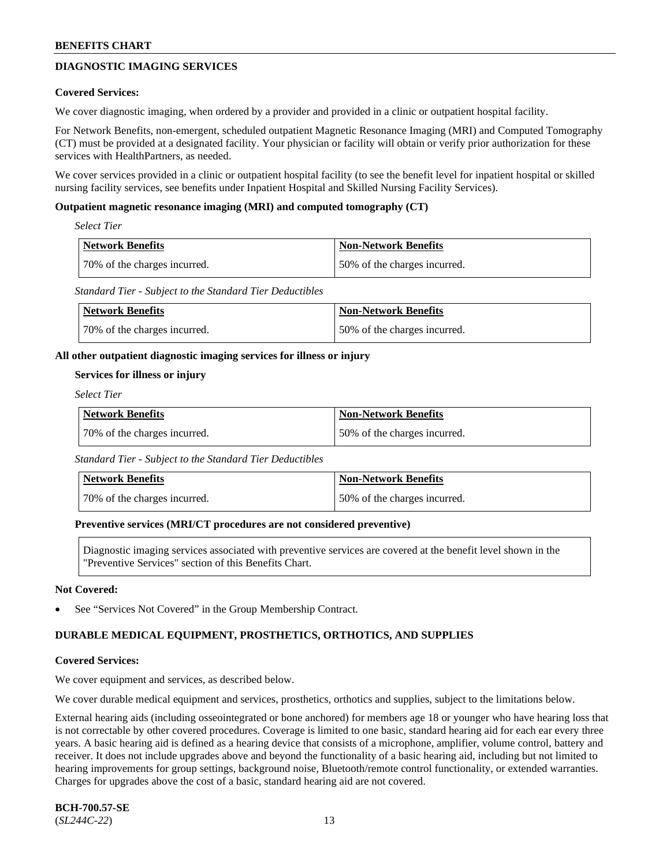## **DIAGNOSTIC IMAGING SERVICES**

### **Covered Services:**

We cover diagnostic imaging, when ordered by a provider and provided in a clinic or outpatient hospital facility.

For Network Benefits, non-emergent, scheduled outpatient Magnetic Resonance Imaging (MRI) and Computed Tomography (CT) must be provided at a designated facility. Your physician or facility will obtain or verify prior authorization for these services with HealthPartners, as needed.

We cover services provided in a clinic or outpatient hospital facility (to see the benefit level for inpatient hospital or skilled nursing facility services, see benefits under Inpatient Hospital and Skilled Nursing Facility Services).

### **Outpatient magnetic resonance imaging (MRI) and computed tomography (CT)**

*Select Tier*

| <b>Network Benefits</b>      | <b>Non-Network Benefits</b>  |
|------------------------------|------------------------------|
| 70% of the charges incurred. | 50% of the charges incurred. |

*Standard Tier - Subject to the Standard Tier Deductibles*

| Network Benefits             | Non-Network Benefits         |
|------------------------------|------------------------------|
| 70% of the charges incurred. | 50% of the charges incurred. |

### **All other outpatient diagnostic imaging services for illness or injury**

### **Services for illness or injury**

*Select Tier*

| <b>Network Benefits</b>      | <b>Non-Network Benefits</b>  |
|------------------------------|------------------------------|
| 70% of the charges incurred. | 50% of the charges incurred. |

*Standard Tier - Subject to the Standard Tier Deductibles*

| Network Benefits             | <b>Non-Network Benefits</b>  |
|------------------------------|------------------------------|
| 70% of the charges incurred. | 50% of the charges incurred. |

#### **Preventive services (MRI/CT procedures are not considered preventive)**

Diagnostic imaging services associated with preventive services are covered at the benefit level shown in the "Preventive Services" section of this Benefits Chart.

#### **Not Covered:**

See "Services Not Covered" in the Group Membership Contract.

## **DURABLE MEDICAL EQUIPMENT, PROSTHETICS, ORTHOTICS, AND SUPPLIES**

#### **Covered Services:**

We cover equipment and services, as described below.

We cover durable medical equipment and services, prosthetics, orthotics and supplies, subject to the limitations below.

External hearing aids (including osseointegrated or bone anchored) for members age 18 or younger who have hearing loss that is not correctable by other covered procedures. Coverage is limited to one basic, standard hearing aid for each ear every three years. A basic hearing aid is defined as a hearing device that consists of a microphone, amplifier, volume control, battery and receiver. It does not include upgrades above and beyond the functionality of a basic hearing aid, including but not limited to hearing improvements for group settings, background noise, Bluetooth/remote control functionality, or extended warranties. Charges for upgrades above the cost of a basic, standard hearing aid are not covered.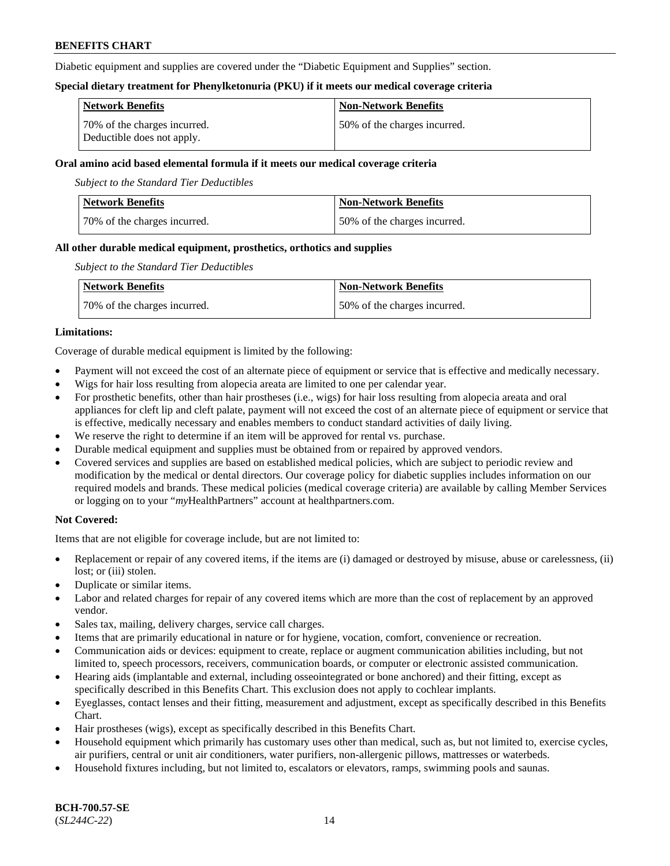Diabetic equipment and supplies are covered under the "Diabetic Equipment and Supplies" section.

### **Special dietary treatment for Phenylketonuria (PKU) if it meets our medical coverage criteria**

| <b>Network Benefits</b>                                    | <b>Non-Network Benefits</b>   |
|------------------------------------------------------------|-------------------------------|
| 70% of the charges incurred.<br>Deductible does not apply. | 150% of the charges incurred. |

### **Oral amino acid based elemental formula if it meets our medical coverage criteria**

*Subject to the Standard Tier Deductibles*

| <b>Network Benefits</b>      | <b>Non-Network Benefits</b>  |
|------------------------------|------------------------------|
| 70% of the charges incurred. | 50% of the charges incurred. |

## **All other durable medical equipment, prosthetics, orthotics and supplies**

*Subject to the Standard Tier Deductibles*

| <b>Network Benefits</b>      | <b>Non-Network Benefits</b>   |
|------------------------------|-------------------------------|
| 70% of the charges incurred. | 150% of the charges incurred. |

## **Limitations:**

Coverage of durable medical equipment is limited by the following:

- Payment will not exceed the cost of an alternate piece of equipment or service that is effective and medically necessary.
- Wigs for hair loss resulting from alopecia areata are limited to one per calendar year.
- For prosthetic benefits, other than hair prostheses (i.e., wigs) for hair loss resulting from alopecia areata and oral appliances for cleft lip and cleft palate, payment will not exceed the cost of an alternate piece of equipment or service that is effective, medically necessary and enables members to conduct standard activities of daily living.
- We reserve the right to determine if an item will be approved for rental vs. purchase.
- Durable medical equipment and supplies must be obtained from or repaired by approved vendors.
- Covered services and supplies are based on established medical policies, which are subject to periodic review and modification by the medical or dental directors. Our coverage policy for diabetic supplies includes information on our required models and brands. These medical policies (medical coverage criteria) are available by calling Member Services or logging on to your "*my*HealthPartners" account a[t healthpartners.com.](https://www.healthpartners.com/hp/index.html)

## **Not Covered:**

Items that are not eligible for coverage include, but are not limited to:

- Replacement or repair of any covered items, if the items are (i) damaged or destroyed by misuse, abuse or carelessness, (ii) lost; or (iii) stolen.
- Duplicate or similar items.
- Labor and related charges for repair of any covered items which are more than the cost of replacement by an approved vendor.
- Sales tax, mailing, delivery charges, service call charges.
- Items that are primarily educational in nature or for hygiene, vocation, comfort, convenience or recreation.
- Communication aids or devices: equipment to create, replace or augment communication abilities including, but not limited to, speech processors, receivers, communication boards, or computer or electronic assisted communication.
- Hearing aids (implantable and external, including osseointegrated or bone anchored) and their fitting, except as specifically described in this Benefits Chart. This exclusion does not apply to cochlear implants.
- Eyeglasses, contact lenses and their fitting, measurement and adjustment, except as specifically described in this Benefits Chart.
- Hair prostheses (wigs), except as specifically described in this Benefits Chart.
- Household equipment which primarily has customary uses other than medical, such as, but not limited to, exercise cycles, air purifiers, central or unit air conditioners, water purifiers, non-allergenic pillows, mattresses or waterbeds.
- Household fixtures including, but not limited to, escalators or elevators, ramps, swimming pools and saunas.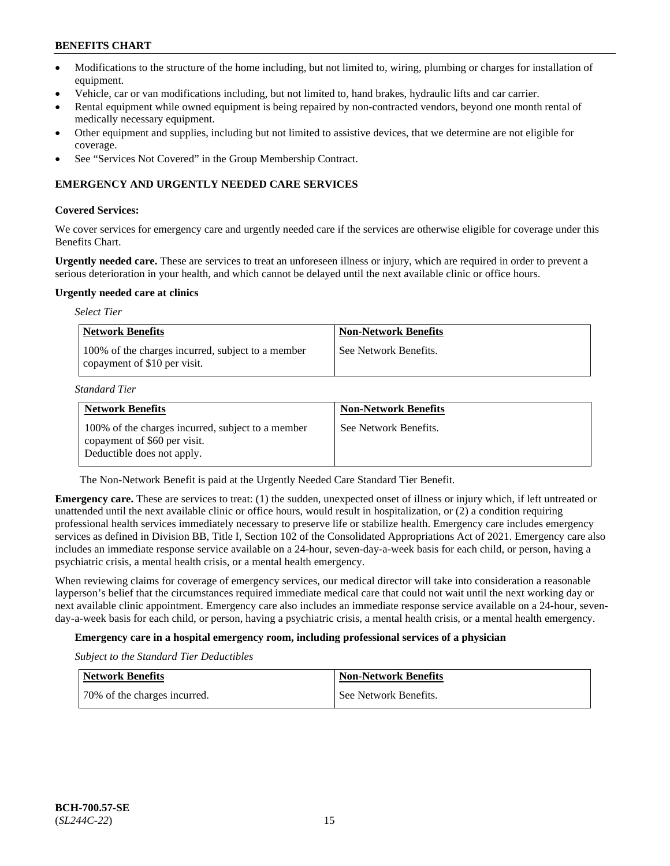- Modifications to the structure of the home including, but not limited to, wiring, plumbing or charges for installation of equipment.
- Vehicle, car or van modifications including, but not limited to, hand brakes, hydraulic lifts and car carrier.
- Rental equipment while owned equipment is being repaired by non-contracted vendors, beyond one month rental of medically necessary equipment.
- Other equipment and supplies, including but not limited to assistive devices, that we determine are not eligible for coverage.
- See "Services Not Covered" in the Group Membership Contract.

## **EMERGENCY AND URGENTLY NEEDED CARE SERVICES**

### **Covered Services:**

We cover services for emergency care and urgently needed care if the services are otherwise eligible for coverage under this Benefits Chart.

**Urgently needed care.** These are services to treat an unforeseen illness or injury, which are required in order to prevent a serious deterioration in your health, and which cannot be delayed until the next available clinic or office hours.

#### **Urgently needed care at clinics**

| <b>Select Tier</b>                                                                |                             |
|-----------------------------------------------------------------------------------|-----------------------------|
| <b>Network Benefits</b>                                                           | <b>Non-Network Benefits</b> |
| 100% of the charges incurred, subject to a member<br>copayment of \$10 per visit. | See Network Benefits.       |

*Standard Tier*

| <b>Network Benefits</b>                                                                                         | <b>Non-Network Benefits</b> |
|-----------------------------------------------------------------------------------------------------------------|-----------------------------|
| 100% of the charges incurred, subject to a member<br>copayment of \$60 per visit.<br>Deductible does not apply. | See Network Benefits.       |

The Non-Network Benefit is paid at the Urgently Needed Care Standard Tier Benefit.

**Emergency care.** These are services to treat: (1) the sudden, unexpected onset of illness or injury which, if left untreated or unattended until the next available clinic or office hours, would result in hospitalization, or (2) a condition requiring professional health services immediately necessary to preserve life or stabilize health. Emergency care includes emergency services as defined in Division BB, Title I, Section 102 of the Consolidated Appropriations Act of 2021. Emergency care also includes an immediate response service available on a 24-hour, seven-day-a-week basis for each child, or person, having a psychiatric crisis, a mental health crisis, or a mental health emergency.

When reviewing claims for coverage of emergency services, our medical director will take into consideration a reasonable layperson's belief that the circumstances required immediate medical care that could not wait until the next working day or next available clinic appointment. Emergency care also includes an immediate response service available on a 24-hour, sevenday-a-week basis for each child, or person, having a psychiatric crisis, a mental health crisis, or a mental health emergency.

## **Emergency care in a hospital emergency room, including professional services of a physician**

*Subject to the Standard Tier Deductibles*

| Network Benefits             | Non-Network Benefits  |
|------------------------------|-----------------------|
| 70% of the charges incurred. | See Network Benefits. |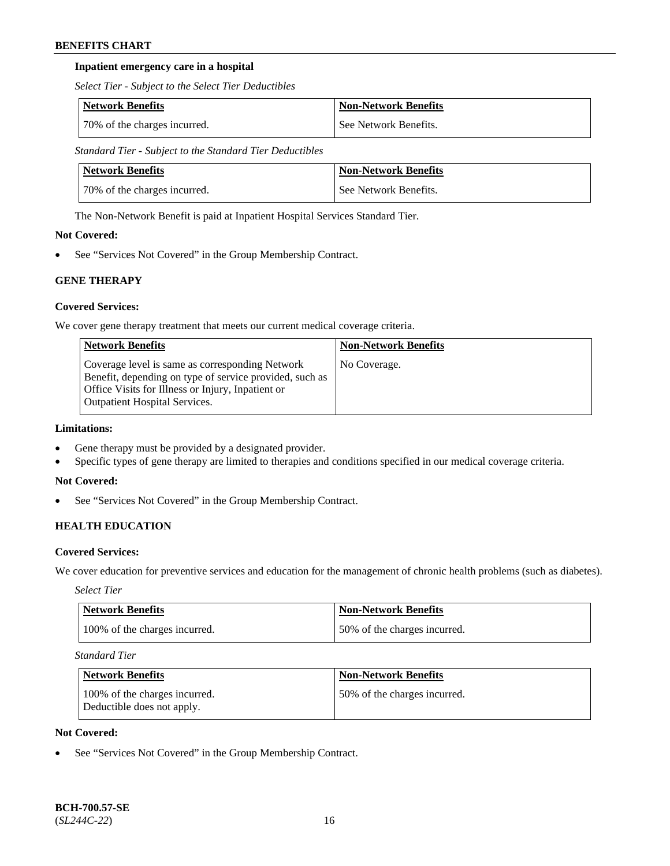## **Inpatient emergency care in a hospital**

*Select Tier - Subject to the Select Tier Deductibles*

| Network Benefits             | <b>Non-Network Benefits</b> |
|------------------------------|-----------------------------|
| 70% of the charges incurred. | See Network Benefits.       |

*Standard Tier - Subject to the Standard Tier Deductibles*

| Network Benefits             | <b>Non-Network Benefits</b> |
|------------------------------|-----------------------------|
| 70% of the charges incurred. | See Network Benefits.       |

The Non-Network Benefit is paid at Inpatient Hospital Services Standard Tier.

## **Not Covered:**

See "Services Not Covered" in the Group Membership Contract.

## **GENE THERAPY**

## **Covered Services:**

We cover gene therapy treatment that meets our current medical coverage criteria.

| <b>Network Benefits</b>                                                                                                                                                                                 | <b>Non-Network Benefits</b> |
|---------------------------------------------------------------------------------------------------------------------------------------------------------------------------------------------------------|-----------------------------|
| Coverage level is same as corresponding Network<br>Benefit, depending on type of service provided, such as<br>Office Visits for Illness or Injury, Inpatient or<br><b>Outpatient Hospital Services.</b> | No Coverage.                |

## **Limitations:**

- Gene therapy must be provided by a designated provider.
- Specific types of gene therapy are limited to therapies and conditions specified in our medical coverage criteria.

## **Not Covered:**

• See "Services Not Covered" in the Group Membership Contract.

## **HEALTH EDUCATION**

## **Covered Services:**

We cover education for preventive services and education for the management of chronic health problems (such as diabetes).

*Select Tier*

| Network Benefits              | <b>Non-Network Benefits</b>  |
|-------------------------------|------------------------------|
| 100% of the charges incurred. | 50% of the charges incurred. |

*Standard Tier*

| <b>Network Benefits</b>                                     | <b>Non-Network Benefits</b>  |
|-------------------------------------------------------------|------------------------------|
| 100% of the charges incurred.<br>Deductible does not apply. | 50% of the charges incurred. |

### **Not Covered:**

See "Services Not Covered" in the Group Membership Contract.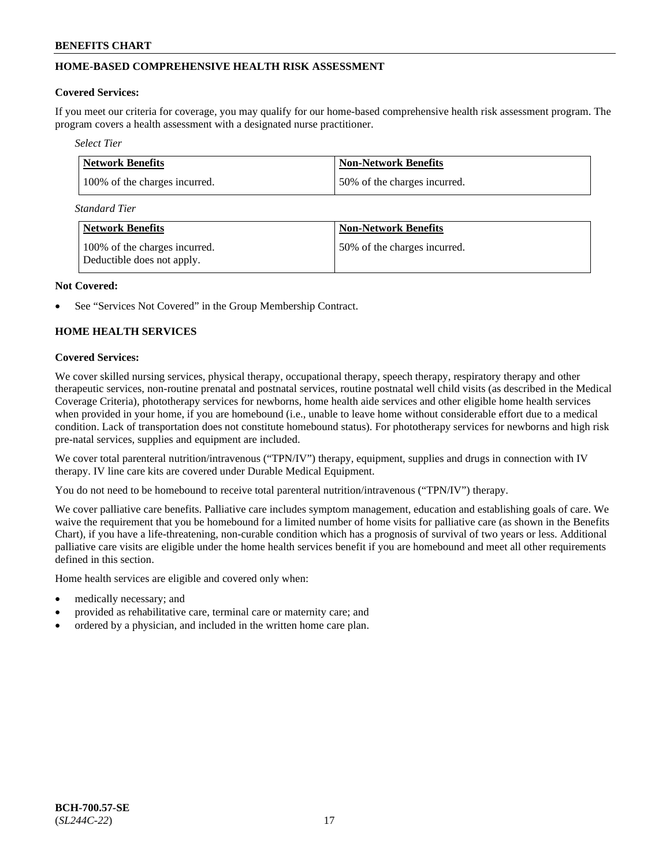## **HOME-BASED COMPREHENSIVE HEALTH RISK ASSESSMENT**

### **Covered Services:**

If you meet our criteria for coverage, you may qualify for our home-based comprehensive health risk assessment program. The program covers a health assessment with a designated nurse practitioner.

*Select Tier*

| <b>Network Benefits</b>       | <b>Non-Network Benefits</b>  |
|-------------------------------|------------------------------|
| 100% of the charges incurred. | 50% of the charges incurred. |

*Standard Tier*

| <b>Network Benefits</b>                                     | <b>Non-Network Benefits</b>  |
|-------------------------------------------------------------|------------------------------|
| 100% of the charges incurred.<br>Deductible does not apply. | 50% of the charges incurred. |

#### **Not Covered:**

See "Services Not Covered" in the Group Membership Contract.

## **HOME HEALTH SERVICES**

### **Covered Services:**

We cover skilled nursing services, physical therapy, occupational therapy, speech therapy, respiratory therapy and other therapeutic services, non-routine prenatal and postnatal services, routine postnatal well child visits (as described in the Medical Coverage Criteria), phototherapy services for newborns, home health aide services and other eligible home health services when provided in your home, if you are homebound (i.e., unable to leave home without considerable effort due to a medical condition. Lack of transportation does not constitute homebound status). For phototherapy services for newborns and high risk pre-natal services, supplies and equipment are included.

We cover total parenteral nutrition/intravenous ("TPN/IV") therapy, equipment, supplies and drugs in connection with IV therapy. IV line care kits are covered under Durable Medical Equipment.

You do not need to be homebound to receive total parenteral nutrition/intravenous ("TPN/IV") therapy.

We cover palliative care benefits. Palliative care includes symptom management, education and establishing goals of care. We waive the requirement that you be homebound for a limited number of home visits for palliative care (as shown in the Benefits Chart), if you have a life-threatening, non-curable condition which has a prognosis of survival of two years or less. Additional palliative care visits are eligible under the home health services benefit if you are homebound and meet all other requirements defined in this section.

Home health services are eligible and covered only when:

- medically necessary; and
- provided as rehabilitative care, terminal care or maternity care; and
- ordered by a physician, and included in the written home care plan.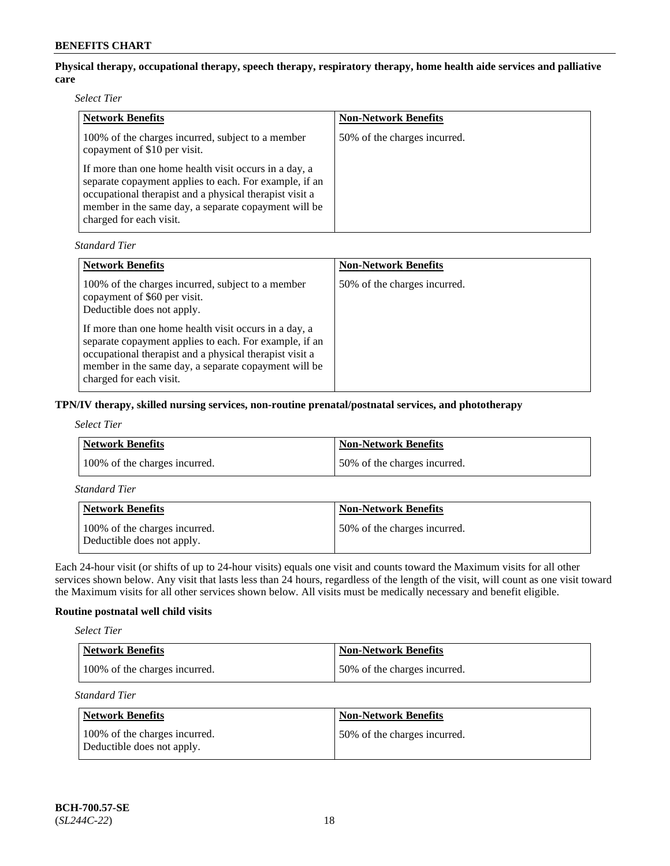## **Physical therapy, occupational therapy, speech therapy, respiratory therapy, home health aide services and palliative care**

*Select Tier*

| <b>Network Benefits</b>                                                                                                                                                                                                                                       | <b>Non-Network Benefits</b>  |
|---------------------------------------------------------------------------------------------------------------------------------------------------------------------------------------------------------------------------------------------------------------|------------------------------|
| 100% of the charges incurred, subject to a member<br>copayment of \$10 per visit.                                                                                                                                                                             | 50% of the charges incurred. |
| If more than one home health visit occurs in a day, a<br>separate copayment applies to each. For example, if an<br>occupational therapist and a physical therapist visit a<br>member in the same day, a separate copayment will be<br>charged for each visit. |                              |

*Standard Tier*

| <b>Network Benefits</b>                                                                                                                                                                                                                                       | <b>Non-Network Benefits</b>  |
|---------------------------------------------------------------------------------------------------------------------------------------------------------------------------------------------------------------------------------------------------------------|------------------------------|
| 100% of the charges incurred, subject to a member<br>copayment of \$60 per visit.<br>Deductible does not apply.                                                                                                                                               | 50% of the charges incurred. |
| If more than one home health visit occurs in a day, a<br>separate copayment applies to each. For example, if an<br>occupational therapist and a physical therapist visit a<br>member in the same day, a separate copayment will be<br>charged for each visit. |                              |

## **TPN/IV therapy, skilled nursing services, non-routine prenatal/postnatal services, and phototherapy**

| <b>Select Tier</b> |
|--------------------|
|--------------------|

| Network Benefits              | <b>Non-Network Benefits</b>  |
|-------------------------------|------------------------------|
| 100% of the charges incurred. | 50% of the charges incurred. |

*Standard Tier*

| <b>Network Benefits</b>                                     | <b>Non-Network Benefits</b>  |
|-------------------------------------------------------------|------------------------------|
| 100% of the charges incurred.<br>Deductible does not apply. | 50% of the charges incurred. |

Each 24-hour visit (or shifts of up to 24-hour visits) equals one visit and counts toward the Maximum visits for all other services shown below. Any visit that lasts less than 24 hours, regardless of the length of the visit, will count as one visit toward the Maximum visits for all other services shown below. All visits must be medically necessary and benefit eligible.

## **Routine postnatal well child visits**

*Select Tier*

| Network Benefits              | Non-Network Benefits         |
|-------------------------------|------------------------------|
| 100% of the charges incurred. | 50% of the charges incurred. |

*Standard Tier*

| Network Benefits                                            | <b>Non-Network Benefits</b>  |
|-------------------------------------------------------------|------------------------------|
| 100% of the charges incurred.<br>Deductible does not apply. | 50% of the charges incurred. |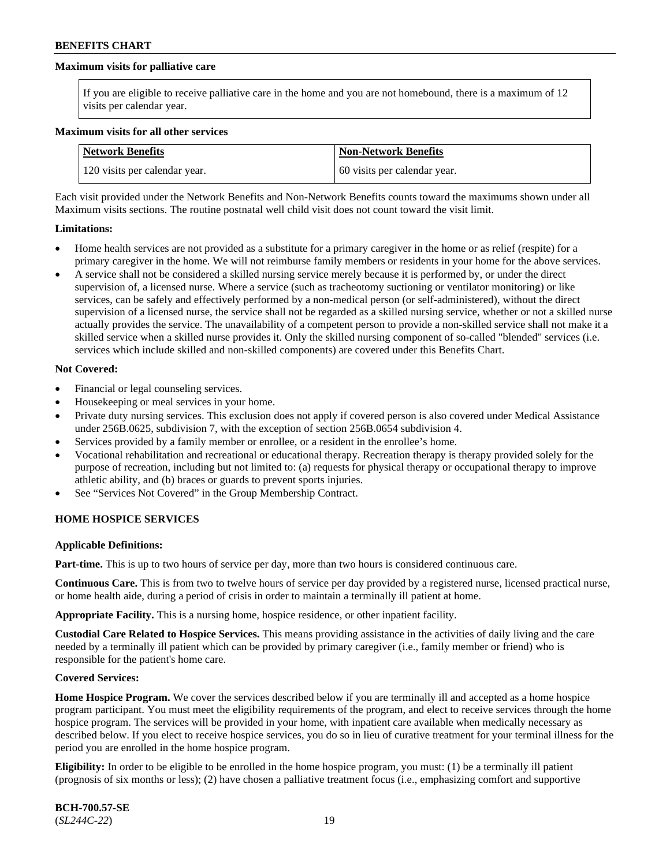### **Maximum visits for palliative care**

If you are eligible to receive palliative care in the home and you are not homebound, there is a maximum of 12 visits per calendar year.

#### **Maximum visits for all other services**

| Network Benefits              | <b>Non-Network Benefits</b>  |
|-------------------------------|------------------------------|
| 120 visits per calendar year. | 60 visits per calendar year. |

Each visit provided under the Network Benefits and Non-Network Benefits counts toward the maximums shown under all Maximum visits sections. The routine postnatal well child visit does not count toward the visit limit.

#### **Limitations:**

- Home health services are not provided as a substitute for a primary caregiver in the home or as relief (respite) for a primary caregiver in the home. We will not reimburse family members or residents in your home for the above services.
- A service shall not be considered a skilled nursing service merely because it is performed by, or under the direct supervision of, a licensed nurse. Where a service (such as tracheotomy suctioning or ventilator monitoring) or like services, can be safely and effectively performed by a non-medical person (or self-administered), without the direct supervision of a licensed nurse, the service shall not be regarded as a skilled nursing service, whether or not a skilled nurse actually provides the service. The unavailability of a competent person to provide a non-skilled service shall not make it a skilled service when a skilled nurse provides it. Only the skilled nursing component of so-called "blended" services (i.e. services which include skilled and non-skilled components) are covered under this Benefits Chart.

#### **Not Covered:**

- Financial or legal counseling services.
- Housekeeping or meal services in your home.
- Private duty nursing services. This exclusion does not apply if covered person is also covered under Medical Assistance under 256B.0625, subdivision 7, with the exception of section 256B.0654 subdivision 4.
- Services provided by a family member or enrollee, or a resident in the enrollee's home.
- Vocational rehabilitation and recreational or educational therapy. Recreation therapy is therapy provided solely for the purpose of recreation, including but not limited to: (a) requests for physical therapy or occupational therapy to improve athletic ability, and (b) braces or guards to prevent sports injuries.
- See "Services Not Covered" in the Group Membership Contract.

#### **HOME HOSPICE SERVICES**

#### **Applicable Definitions:**

**Part-time.** This is up to two hours of service per day, more than two hours is considered continuous care.

**Continuous Care.** This is from two to twelve hours of service per day provided by a registered nurse, licensed practical nurse, or home health aide, during a period of crisis in order to maintain a terminally ill patient at home.

**Appropriate Facility.** This is a nursing home, hospice residence, or other inpatient facility.

**Custodial Care Related to Hospice Services.** This means providing assistance in the activities of daily living and the care needed by a terminally ill patient which can be provided by primary caregiver (i.e., family member or friend) who is responsible for the patient's home care.

#### **Covered Services:**

**Home Hospice Program.** We cover the services described below if you are terminally ill and accepted as a home hospice program participant. You must meet the eligibility requirements of the program, and elect to receive services through the home hospice program. The services will be provided in your home, with inpatient care available when medically necessary as described below. If you elect to receive hospice services, you do so in lieu of curative treatment for your terminal illness for the period you are enrolled in the home hospice program.

**Eligibility:** In order to be eligible to be enrolled in the home hospice program, you must: (1) be a terminally ill patient (prognosis of six months or less); (2) have chosen a palliative treatment focus (i.e., emphasizing comfort and supportive

**BCH-700.57-SE** (*SL244C-22*) 19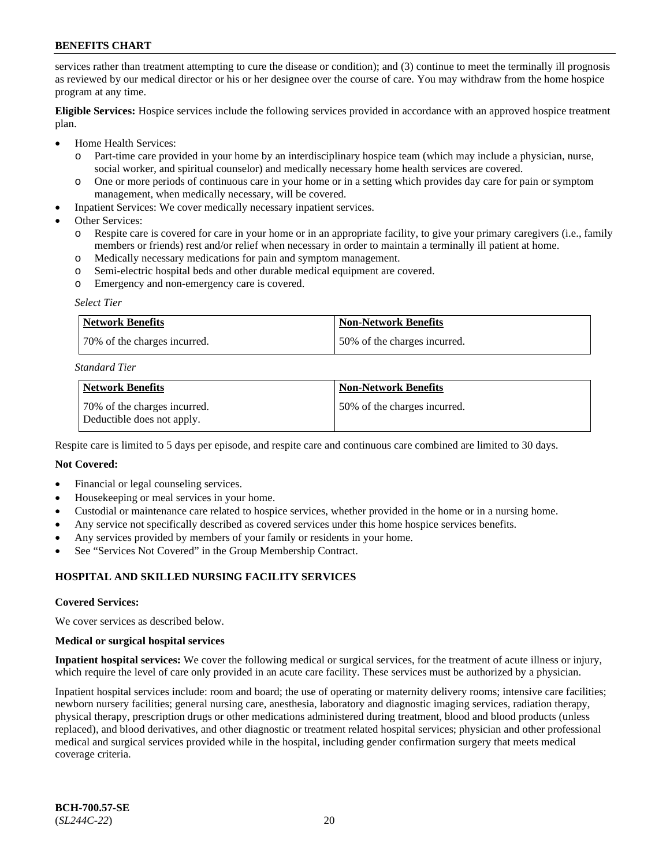services rather than treatment attempting to cure the disease or condition); and (3) continue to meet the terminally ill prognosis as reviewed by our medical director or his or her designee over the course of care. You may withdraw from the home hospice program at any time.

**Eligible Services:** Hospice services include the following services provided in accordance with an approved hospice treatment plan.

- Home Health Services:
	- o Part-time care provided in your home by an interdisciplinary hospice team (which may include a physician, nurse, social worker, and spiritual counselor) and medically necessary home health services are covered.
	- o One or more periods of continuous care in your home or in a setting which provides day care for pain or symptom management, when medically necessary, will be covered.
- Inpatient Services: We cover medically necessary inpatient services.
- Other Services:
	- o Respite care is covered for care in your home or in an appropriate facility, to give your primary caregivers (i.e., family members or friends) rest and/or relief when necessary in order to maintain a terminally ill patient at home.
	- o Medically necessary medications for pain and symptom management.
	- o Semi-electric hospital beds and other durable medical equipment are covered.
	- o Emergency and non-emergency care is covered.

#### *Select Tier*

| Network Benefits             | Non-Network Benefits         |
|------------------------------|------------------------------|
| 70% of the charges incurred. | 50% of the charges incurred. |

### *Standard Tier*

| Network Benefits                                            | <b>Non-Network Benefits</b>  |
|-------------------------------------------------------------|------------------------------|
| 170% of the charges incurred.<br>Deductible does not apply. | 50% of the charges incurred. |

Respite care is limited to 5 days per episode, and respite care and continuous care combined are limited to 30 days.

#### **Not Covered:**

- Financial or legal counseling services.
- Housekeeping or meal services in your home.
- Custodial or maintenance care related to hospice services, whether provided in the home or in a nursing home.
- Any service not specifically described as covered services under this home hospice services benefits.
- Any services provided by members of your family or residents in your home.
- See "Services Not Covered" in the Group Membership Contract.

## **HOSPITAL AND SKILLED NURSING FACILITY SERVICES**

#### **Covered Services:**

We cover services as described below.

#### **Medical or surgical hospital services**

**Inpatient hospital services:** We cover the following medical or surgical services, for the treatment of acute illness or injury, which require the level of care only provided in an acute care facility. These services must be authorized by a physician.

Inpatient hospital services include: room and board; the use of operating or maternity delivery rooms; intensive care facilities; newborn nursery facilities; general nursing care, anesthesia, laboratory and diagnostic imaging services, radiation therapy, physical therapy, prescription drugs or other medications administered during treatment, blood and blood products (unless replaced), and blood derivatives, and other diagnostic or treatment related hospital services; physician and other professional medical and surgical services provided while in the hospital, including gender confirmation surgery that meets medical coverage criteria.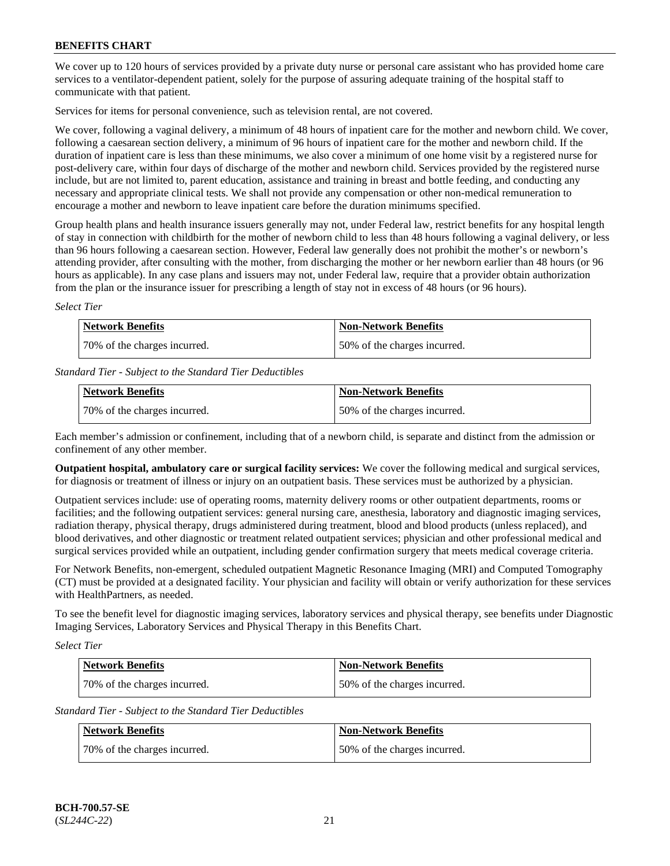We cover up to 120 hours of services provided by a private duty nurse or personal care assistant who has provided home care services to a ventilator-dependent patient, solely for the purpose of assuring adequate training of the hospital staff to communicate with that patient.

Services for items for personal convenience, such as television rental, are not covered.

We cover, following a vaginal delivery, a minimum of 48 hours of inpatient care for the mother and newborn child. We cover, following a caesarean section delivery, a minimum of 96 hours of inpatient care for the mother and newborn child. If the duration of inpatient care is less than these minimums, we also cover a minimum of one home visit by a registered nurse for post-delivery care, within four days of discharge of the mother and newborn child. Services provided by the registered nurse include, but are not limited to, parent education, assistance and training in breast and bottle feeding, and conducting any necessary and appropriate clinical tests. We shall not provide any compensation or other non-medical remuneration to encourage a mother and newborn to leave inpatient care before the duration minimums specified.

Group health plans and health insurance issuers generally may not, under Federal law, restrict benefits for any hospital length of stay in connection with childbirth for the mother of newborn child to less than 48 hours following a vaginal delivery, or less than 96 hours following a caesarean section. However, Federal law generally does not prohibit the mother's or newborn's attending provider, after consulting with the mother, from discharging the mother or her newborn earlier than 48 hours (or 96 hours as applicable). In any case plans and issuers may not, under Federal law, require that a provider obtain authorization from the plan or the insurance issuer for prescribing a length of stay not in excess of 48 hours (or 96 hours).

*Select Tier*

| Network Benefits             | <b>Non-Network Benefits</b>  |
|------------------------------|------------------------------|
| 70% of the charges incurred. | 50% of the charges incurred. |

*Standard Tier - Subject to the Standard Tier Deductibles*

| <b>Network Benefits</b>      | <b>Non-Network Benefits</b>  |
|------------------------------|------------------------------|
| 70% of the charges incurred. | 50% of the charges incurred. |

Each member's admission or confinement, including that of a newborn child, is separate and distinct from the admission or confinement of any other member.

**Outpatient hospital, ambulatory care or surgical facility services:** We cover the following medical and surgical services, for diagnosis or treatment of illness or injury on an outpatient basis. These services must be authorized by a physician.

Outpatient services include: use of operating rooms, maternity delivery rooms or other outpatient departments, rooms or facilities; and the following outpatient services: general nursing care, anesthesia, laboratory and diagnostic imaging services, radiation therapy, physical therapy, drugs administered during treatment, blood and blood products (unless replaced), and blood derivatives, and other diagnostic or treatment related outpatient services; physician and other professional medical and surgical services provided while an outpatient, including gender confirmation surgery that meets medical coverage criteria.

For Network Benefits, non-emergent, scheduled outpatient Magnetic Resonance Imaging (MRI) and Computed Tomography (CT) must be provided at a designated facility. Your physician and facility will obtain or verify authorization for these services with HealthPartners, as needed.

To see the benefit level for diagnostic imaging services, laboratory services and physical therapy, see benefits under Diagnostic Imaging Services, Laboratory Services and Physical Therapy in this Benefits Chart.

*Select Tier*

| Network Benefits             | <b>Non-Network Benefits</b>  |
|------------------------------|------------------------------|
| 70% of the charges incurred. | 50% of the charges incurred. |

*Standard Tier - Subject to the Standard Tier Deductibles*

| <b>Network Benefits</b>      | <b>Non-Network Benefits</b>  |
|------------------------------|------------------------------|
| 70% of the charges incurred. | 50% of the charges incurred. |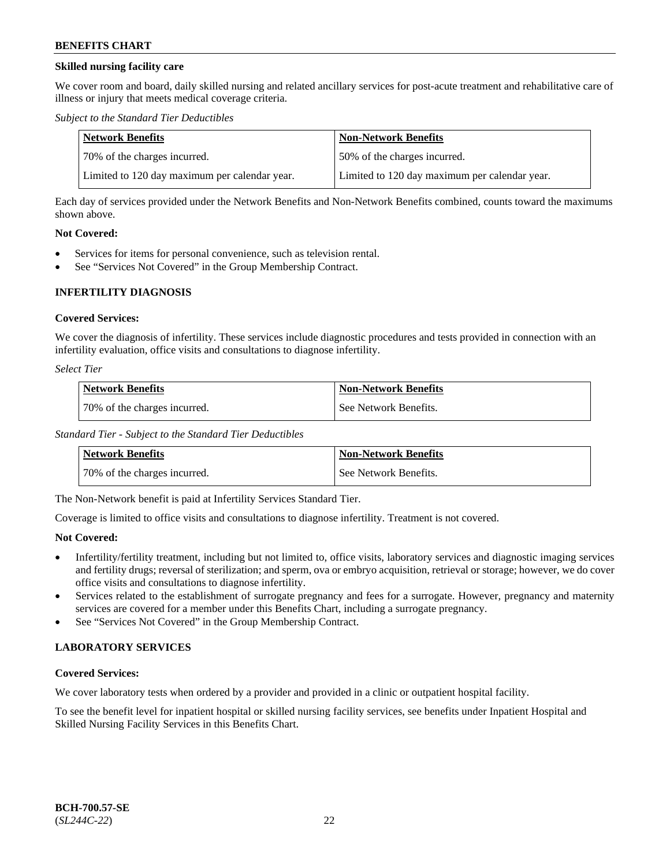## **Skilled nursing facility care**

We cover room and board, daily skilled nursing and related ancillary services for post-acute treatment and rehabilitative care of illness or injury that meets medical coverage criteria.

*Subject to the Standard Tier Deductibles*

| Network Benefits                              | <b>Non-Network Benefits</b>                   |
|-----------------------------------------------|-----------------------------------------------|
| 170% of the charges incurred.                 | 50% of the charges incurred.                  |
| Limited to 120 day maximum per calendar year. | Limited to 120 day maximum per calendar year. |

Each day of services provided under the Network Benefits and Non-Network Benefits combined, counts toward the maximums shown above.

### **Not Covered:**

- Services for items for personal convenience, such as television rental.
- See "Services Not Covered" in the Group Membership Contract.

## **INFERTILITY DIAGNOSIS**

## **Covered Services:**

We cover the diagnosis of infertility. These services include diagnostic procedures and tests provided in connection with an infertility evaluation, office visits and consultations to diagnose infertility.

*Select Tier*

| <b>Network Benefits</b>      | <b>Non-Network Benefits</b> |
|------------------------------|-----------------------------|
| 70% of the charges incurred. | See Network Benefits.       |

*Standard Tier - Subject to the Standard Tier Deductibles*

| <b>Network Benefits</b>      | <b>Non-Network Benefits</b> |
|------------------------------|-----------------------------|
| 70% of the charges incurred. | l See Network Benefits.     |

The Non-Network benefit is paid at Infertility Services Standard Tier.

Coverage is limited to office visits and consultations to diagnose infertility. Treatment is not covered.

## **Not Covered:**

- Infertility/fertility treatment, including but not limited to, office visits, laboratory services and diagnostic imaging services and fertility drugs; reversal of sterilization; and sperm, ova or embryo acquisition, retrieval or storage; however, we do cover office visits and consultations to diagnose infertility.
- Services related to the establishment of surrogate pregnancy and fees for a surrogate. However, pregnancy and maternity services are covered for a member under this Benefits Chart, including a surrogate pregnancy.
- See "Services Not Covered" in the Group Membership Contract.

## **LABORATORY SERVICES**

## **Covered Services:**

We cover laboratory tests when ordered by a provider and provided in a clinic or outpatient hospital facility.

To see the benefit level for inpatient hospital or skilled nursing facility services, see benefits under Inpatient Hospital and Skilled Nursing Facility Services in this Benefits Chart.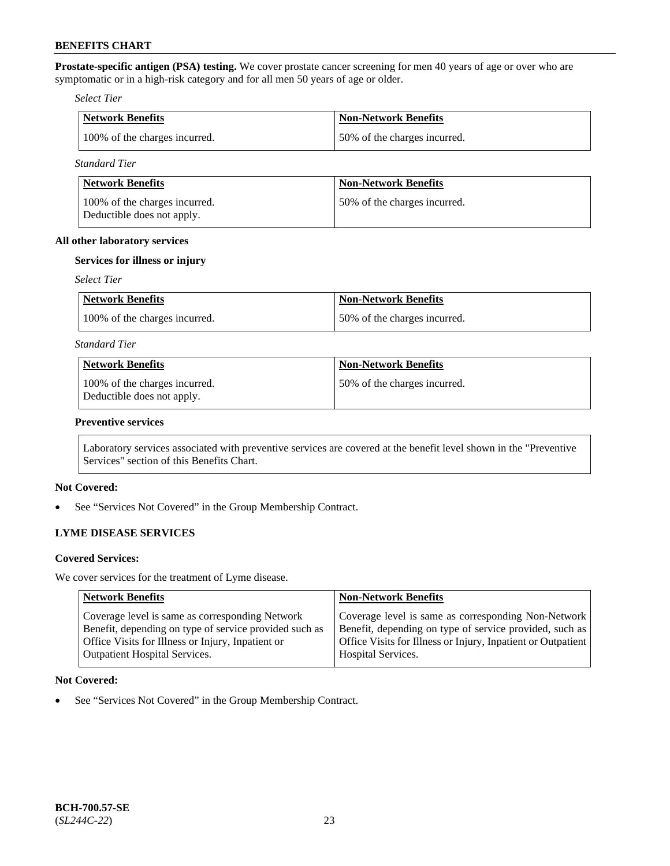**Prostate-specific antigen (PSA) testing.** We cover prostate cancer screening for men 40 years of age or over who are symptomatic or in a high-risk category and for all men 50 years of age or older.

*Select Tier*

| Network Benefits              | Non-Network Benefits         |
|-------------------------------|------------------------------|
| 100% of the charges incurred. | 50% of the charges incurred. |

*Standard Tier*

| Network Benefits                                            | <b>Non-Network Benefits</b>  |
|-------------------------------------------------------------|------------------------------|
| 100% of the charges incurred.<br>Deductible does not apply. | 50% of the charges incurred. |

## **All other laboratory services**

## **Services for illness or injury**

### *Select Tier*

| Network Benefits              | Non-Network Benefits         |
|-------------------------------|------------------------------|
| 100% of the charges incurred. | 50% of the charges incurred. |

### *Standard Tier*

| Network Benefits                                            | <b>Non-Network Benefits</b>   |
|-------------------------------------------------------------|-------------------------------|
| 100% of the charges incurred.<br>Deductible does not apply. | 150% of the charges incurred. |

## **Preventive services**

Laboratory services associated with preventive services are covered at the benefit level shown in the "Preventive Services" section of this Benefits Chart.

## **Not Covered:**

See "Services Not Covered" in the Group Membership Contract.

## **LYME DISEASE SERVICES**

#### **Covered Services:**

We cover services for the treatment of Lyme disease.

| <b>Network Benefits</b>                                                                                                                                                                                | <b>Non-Network Benefits</b>                                                                                                                                                                          |
|--------------------------------------------------------------------------------------------------------------------------------------------------------------------------------------------------------|------------------------------------------------------------------------------------------------------------------------------------------------------------------------------------------------------|
| Coverage level is same as corresponding Network<br>Benefit, depending on type of service provided such as<br>Office Visits for Illness or Injury, Inpatient or<br><b>Outpatient Hospital Services.</b> | Coverage level is same as corresponding Non-Network<br>Benefit, depending on type of service provided, such as<br>Office Visits for Illness or Injury, Inpatient or Outpatient<br>Hospital Services. |
|                                                                                                                                                                                                        |                                                                                                                                                                                                      |

## **Not Covered:**

• See "Services Not Covered" in the Group Membership Contract.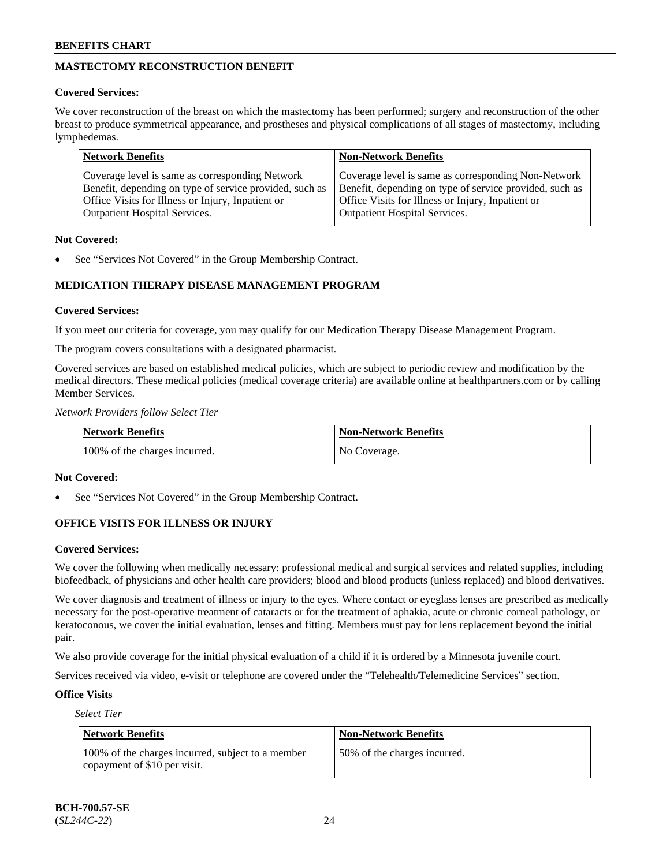## **MASTECTOMY RECONSTRUCTION BENEFIT**

## **Covered Services:**

We cover reconstruction of the breast on which the mastectomy has been performed; surgery and reconstruction of the other breast to produce symmetrical appearance, and prostheses and physical complications of all stages of mastectomy, including lymphedemas.

| <b>Network Benefits</b>                                                                                                                                                                                 | <b>Non-Network Benefits</b>                                                                                                                                                                          |
|---------------------------------------------------------------------------------------------------------------------------------------------------------------------------------------------------------|------------------------------------------------------------------------------------------------------------------------------------------------------------------------------------------------------|
| Coverage level is same as corresponding Network<br>Benefit, depending on type of service provided, such as<br>Office Visits for Illness or Injury, Inpatient or<br><b>Outpatient Hospital Services.</b> | Coverage level is same as corresponding Non-Network<br>Benefit, depending on type of service provided, such as<br>Office Visits for Illness or Injury, Inpatient or<br>Outpatient Hospital Services. |
|                                                                                                                                                                                                         |                                                                                                                                                                                                      |

## **Not Covered:**

See "Services Not Covered" in the Group Membership Contract.

## **MEDICATION THERAPY DISEASE MANAGEMENT PROGRAM**

## **Covered Services:**

If you meet our criteria for coverage, you may qualify for our Medication Therapy Disease Management Program.

The program covers consultations with a designated pharmacist.

Covered services are based on established medical policies, which are subject to periodic review and modification by the medical directors. These medical policies (medical coverage criteria) are available online at [healthpartners.com](https://www.healthpartners.com/hp/index.html) or by calling Member Services.

*Network Providers follow Select Tier*

| <b>Network Benefits</b>       | <b>Non-Network Benefits</b> |
|-------------------------------|-----------------------------|
| 100% of the charges incurred. | No Coverage.                |

## **Not Covered:**

See "Services Not Covered" in the Group Membership Contract.

## **OFFICE VISITS FOR ILLNESS OR INJURY**

## **Covered Services:**

We cover the following when medically necessary: professional medical and surgical services and related supplies, including biofeedback, of physicians and other health care providers; blood and blood products (unless replaced) and blood derivatives.

We cover diagnosis and treatment of illness or injury to the eyes. Where contact or eyeglass lenses are prescribed as medically necessary for the post-operative treatment of cataracts or for the treatment of aphakia, acute or chronic corneal pathology, or keratoconous, we cover the initial evaluation, lenses and fitting. Members must pay for lens replacement beyond the initial pair.

We also provide coverage for the initial physical evaluation of a child if it is ordered by a Minnesota juvenile court.

Services received via video, e-visit or telephone are covered under the "Telehealth/Telemedicine Services" section.

## **Office Visits**

*Select Tier*

| <b>Network Benefits</b>                                                            | <b>Non-Network Benefits</b>  |
|------------------------------------------------------------------------------------|------------------------------|
| 100% of the charges incurred, subject to a member<br>copayment of $$10$ per visit. | 50% of the charges incurred. |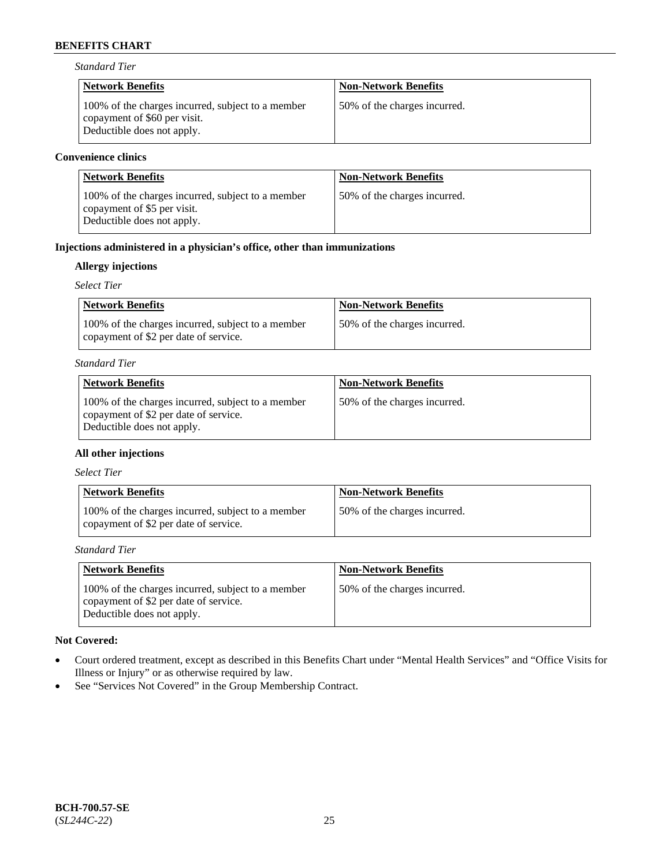*Standard Tier*

| <b>Network Benefits</b>                                                                                         | <b>Non-Network Benefits</b>  |
|-----------------------------------------------------------------------------------------------------------------|------------------------------|
| 100% of the charges incurred, subject to a member<br>copayment of \$60 per visit.<br>Deductible does not apply. | 50% of the charges incurred. |

## **Convenience clinics**

| <b>Network Benefits</b>                                                                                        | <b>Non-Network Benefits</b>  |
|----------------------------------------------------------------------------------------------------------------|------------------------------|
| 100% of the charges incurred, subject to a member<br>copayment of \$5 per visit.<br>Deductible does not apply. | 50% of the charges incurred. |

## **Injections administered in a physician's office, other than immunizations**

## **Allergy injections**

*Select Tier*

| <b>Network Benefits</b>                                                                    | <b>Non-Network Benefits</b>  |
|--------------------------------------------------------------------------------------------|------------------------------|
| 100% of the charges incurred, subject to a member<br>copayment of \$2 per date of service. | 50% of the charges incurred. |

## *Standard Tier*

| <b>Network Benefits</b>                                                                                                  | <b>Non-Network Benefits</b>  |
|--------------------------------------------------------------------------------------------------------------------------|------------------------------|
| 100% of the charges incurred, subject to a member<br>copayment of \$2 per date of service.<br>Deductible does not apply. | 50% of the charges incurred. |

## **All other injections**

*Select Tier*

| <b>Network Benefits</b>                                                                    | <b>Non-Network Benefits</b>  |
|--------------------------------------------------------------------------------------------|------------------------------|
| 100% of the charges incurred, subject to a member<br>copayment of \$2 per date of service. | 50% of the charges incurred. |

*Standard Tier*

| <b>Network Benefits</b>                                                                                                  | <b>Non-Network Benefits</b>  |
|--------------------------------------------------------------------------------------------------------------------------|------------------------------|
| 100% of the charges incurred, subject to a member<br>copayment of \$2 per date of service.<br>Deductible does not apply. | 50% of the charges incurred. |

## **Not Covered:**

- Court ordered treatment, except as described in this Benefits Chart under "Mental Health Services" and "Office Visits for Illness or Injury" or as otherwise required by law.
- See "Services Not Covered" in the Group Membership Contract.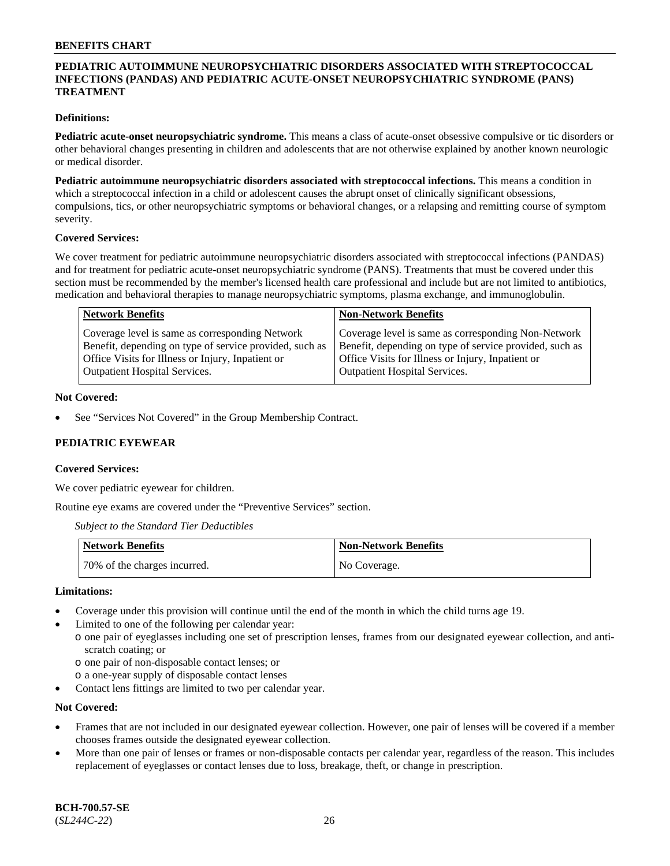## **PEDIATRIC AUTOIMMUNE NEUROPSYCHIATRIC DISORDERS ASSOCIATED WITH STREPTOCOCCAL INFECTIONS (PANDAS) AND PEDIATRIC ACUTE-ONSET NEUROPSYCHIATRIC SYNDROME (PANS) TREATMENT**

### **Definitions:**

**Pediatric acute-onset neuropsychiatric syndrome.** This means a class of acute-onset obsessive compulsive or tic disorders or other behavioral changes presenting in children and adolescents that are not otherwise explained by another known neurologic or medical disorder.

**Pediatric autoimmune neuropsychiatric disorders associated with streptococcal infections.** This means a condition in which a streptococcal infection in a child or adolescent causes the abrupt onset of clinically significant obsessions, compulsions, tics, or other neuropsychiatric symptoms or behavioral changes, or a relapsing and remitting course of symptom severity.

### **Covered Services:**

We cover treatment for pediatric autoimmune neuropsychiatric disorders associated with streptococcal infections (PANDAS) and for treatment for pediatric acute-onset neuropsychiatric syndrome (PANS). Treatments that must be covered under this section must be recommended by the member's licensed health care professional and include but are not limited to antibiotics, medication and behavioral therapies to manage neuropsychiatric symptoms, plasma exchange, and immunoglobulin.

| <b>Network Benefits</b>                                                                                                                                                                                 | <b>Non-Network Benefits</b>                                                                                                                                                                          |
|---------------------------------------------------------------------------------------------------------------------------------------------------------------------------------------------------------|------------------------------------------------------------------------------------------------------------------------------------------------------------------------------------------------------|
| Coverage level is same as corresponding Network<br>Benefit, depending on type of service provided, such as<br>Office Visits for Illness or Injury, Inpatient or<br><b>Outpatient Hospital Services.</b> | Coverage level is same as corresponding Non-Network<br>Benefit, depending on type of service provided, such as<br>Office Visits for Illness or Injury, Inpatient or<br>Outpatient Hospital Services. |
|                                                                                                                                                                                                         |                                                                                                                                                                                                      |

### **Not Covered:**

See "Services Not Covered" in the Group Membership Contract.

## **PEDIATRIC EYEWEAR**

#### **Covered Services:**

We cover pediatric eyewear for children.

Routine eye exams are covered under the "Preventive Services" section.

*Subject to the Standard Tier Deductibles*

| Network Benefits             | <b>Non-Network Benefits</b> |
|------------------------------|-----------------------------|
| 70% of the charges incurred. | No Coverage.                |

#### **Limitations:**

- Coverage under this provision will continue until the end of the month in which the child turns age 19.
- Limited to one of the following per calendar year:
	- o one pair of eyeglasses including one set of prescription lenses, frames from our designated eyewear collection, and antiscratch coating; or
	- o one pair of non-disposable contact lenses; or
	- o a one-year supply of disposable contact lenses
- Contact lens fittings are limited to two per calendar year.

#### **Not Covered:**

- Frames that are not included in our designated eyewear collection. However, one pair of lenses will be covered if a member chooses frames outside the designated eyewear collection.
- More than one pair of lenses or frames or non-disposable contacts per calendar year, regardless of the reason. This includes replacement of eyeglasses or contact lenses due to loss, breakage, theft, or change in prescription.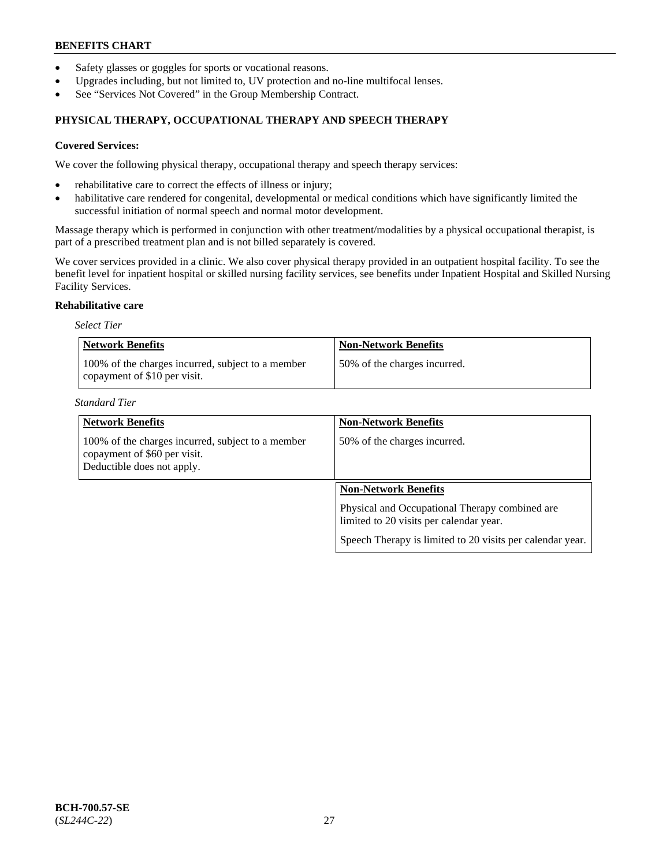- Safety glasses or goggles for sports or vocational reasons.
- Upgrades including, but not limited to, UV protection and no-line multifocal lenses.
- See "Services Not Covered" in the Group Membership Contract.

## **PHYSICAL THERAPY, OCCUPATIONAL THERAPY AND SPEECH THERAPY**

### **Covered Services:**

We cover the following physical therapy, occupational therapy and speech therapy services:

- rehabilitative care to correct the effects of illness or injury;
- habilitative care rendered for congenital, developmental or medical conditions which have significantly limited the successful initiation of normal speech and normal motor development.

Massage therapy which is performed in conjunction with other treatment/modalities by a physical occupational therapist, is part of a prescribed treatment plan and is not billed separately is covered.

We cover services provided in a clinic. We also cover physical therapy provided in an outpatient hospital facility. To see the benefit level for inpatient hospital or skilled nursing facility services, see benefits under Inpatient Hospital and Skilled Nursing Facility Services.

#### **Rehabilitative care**

*Select Tier*

| <b>Network Benefits</b>                                                           | <b>Non-Network Benefits</b>  |
|-----------------------------------------------------------------------------------|------------------------------|
| 100% of the charges incurred, subject to a member<br>copayment of \$10 per visit. | 50% of the charges incurred. |

*Standard Tier*

| <b>Network Benefits</b>                                                                                         | <b>Non-Network Benefits</b>                                                               |
|-----------------------------------------------------------------------------------------------------------------|-------------------------------------------------------------------------------------------|
| 100% of the charges incurred, subject to a member<br>copayment of \$60 per visit.<br>Deductible does not apply. | 50% of the charges incurred.                                                              |
|                                                                                                                 | <b>Non-Network Benefits</b>                                                               |
|                                                                                                                 | Physical and Occupational Therapy combined are<br>limited to 20 visits per calendar year. |
|                                                                                                                 | Speech Therapy is limited to 20 visits per calendar year.                                 |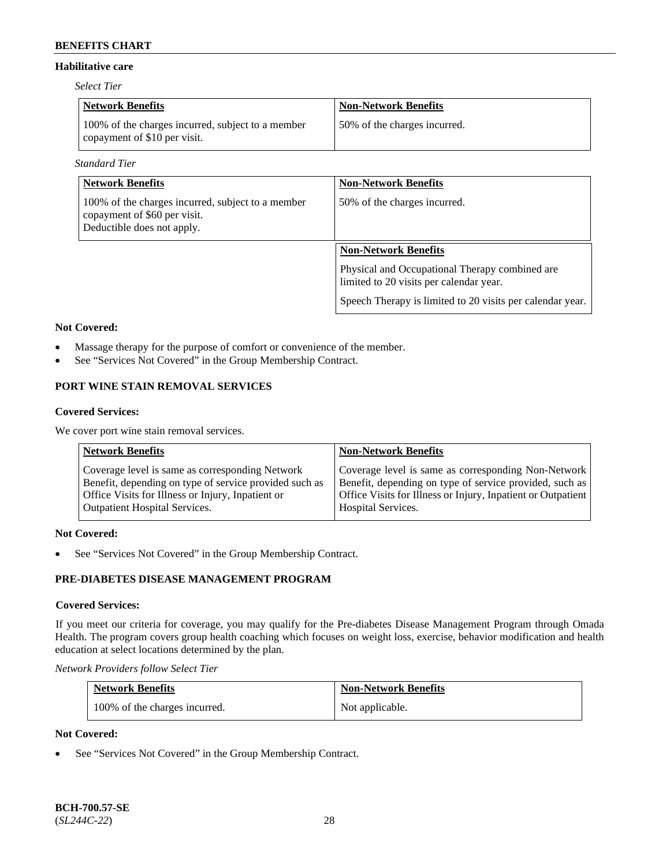## **Habilitative care**

*Select Tier*

| <b>Network Benefits</b>                                                           | <b>Non-Network Benefits</b>   |
|-----------------------------------------------------------------------------------|-------------------------------|
| 100% of the charges incurred, subject to a member<br>copayment of \$10 per visit. | 150% of the charges incurred. |

#### *Standard Tier*

| <b>Network Benefits</b>                                                                                         | <b>Non-Network Benefits</b>                                                               |
|-----------------------------------------------------------------------------------------------------------------|-------------------------------------------------------------------------------------------|
| 100% of the charges incurred, subject to a member<br>copayment of \$60 per visit.<br>Deductible does not apply. | 50% of the charges incurred.                                                              |
|                                                                                                                 | <b>Non-Network Benefits</b>                                                               |
|                                                                                                                 | Physical and Occupational Therapy combined are<br>limited to 20 visits per calendar year. |
|                                                                                                                 | Speech Therapy is limited to 20 visits per calendar year.                                 |

## **Not Covered:**

- Massage therapy for the purpose of comfort or convenience of the member.
- See "Services Not Covered" in the Group Membership Contract.

## **PORT WINE STAIN REMOVAL SERVICES**

### **Covered Services:**

We cover port wine stain removal services.

| <b>Network Benefits</b>                                | <b>Non-Network Benefits</b>                                  |
|--------------------------------------------------------|--------------------------------------------------------------|
| Coverage level is same as corresponding Network        | Coverage level is same as corresponding Non-Network          |
| Benefit, depending on type of service provided such as | Benefit, depending on type of service provided, such as      |
| Office Visits for Illness or Injury, Inpatient or      | Office Visits for Illness or Injury, Inpatient or Outpatient |
| <b>Outpatient Hospital Services.</b>                   | <b>Hospital Services.</b>                                    |

#### **Not Covered:**

See "Services Not Covered" in the Group Membership Contract.

## **PRE-DIABETES DISEASE MANAGEMENT PROGRAM**

#### **Covered Services:**

If you meet our criteria for coverage, you may qualify for the Pre-diabetes Disease Management Program through Omada Health. The program covers group health coaching which focuses on weight loss, exercise, behavior modification and health education at select locations determined by the plan.

*Network Providers follow Select Tier*

| <b>Network Benefits</b>       | <b>Non-Network Benefits</b> |
|-------------------------------|-----------------------------|
| 100% of the charges incurred. | Not applicable.             |

### **Not Covered:**

See "Services Not Covered" in the Group Membership Contract.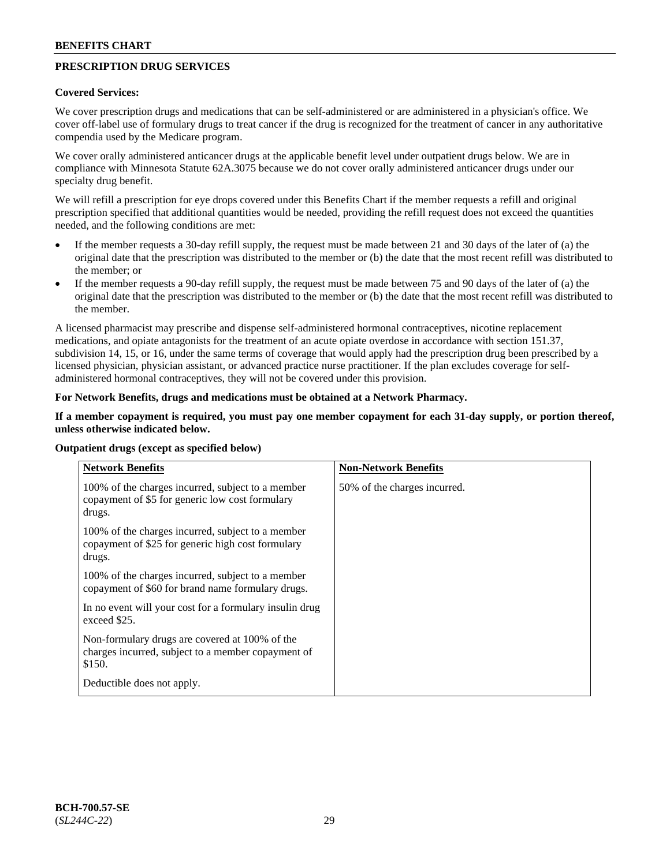## **PRESCRIPTION DRUG SERVICES**

## **Covered Services:**

We cover prescription drugs and medications that can be self-administered or are administered in a physician's office. We cover off-label use of formulary drugs to treat cancer if the drug is recognized for the treatment of cancer in any authoritative compendia used by the Medicare program.

We cover orally administered anticancer drugs at the applicable benefit level under outpatient drugs below. We are in compliance with Minnesota Statute 62A.3075 because we do not cover orally administered anticancer drugs under our specialty drug benefit.

We will refill a prescription for eye drops covered under this Benefits Chart if the member requests a refill and original prescription specified that additional quantities would be needed, providing the refill request does not exceed the quantities needed, and the following conditions are met:

- If the member requests a 30-day refill supply, the request must be made between 21 and 30 days of the later of (a) the original date that the prescription was distributed to the member or (b) the date that the most recent refill was distributed to the member; or
- If the member requests a 90-day refill supply, the request must be made between 75 and 90 days of the later of (a) the original date that the prescription was distributed to the member or (b) the date that the most recent refill was distributed to the member.

A licensed pharmacist may prescribe and dispense self-administered hormonal contraceptives, nicotine replacement medications, and opiate antagonists for the treatment of an acute opiate overdose in accordance with section 151.37, subdivision 14, 15, or 16, under the same terms of coverage that would apply had the prescription drug been prescribed by a licensed physician, physician assistant, or advanced practice nurse practitioner. If the plan excludes coverage for selfadministered hormonal contraceptives, they will not be covered under this provision.

## **For Network Benefits, drugs and medications must be obtained at a Network Pharmacy.**

## **If a member copayment is required, you must pay one member copayment for each 31-day supply, or portion thereof, unless otherwise indicated below.**

| <b>Network Benefits</b>                                                                                          | <b>Non-Network Benefits</b>  |
|------------------------------------------------------------------------------------------------------------------|------------------------------|
| 100% of the charges incurred, subject to a member<br>copayment of \$5 for generic low cost formulary<br>drugs.   | 50% of the charges incurred. |
| 100% of the charges incurred, subject to a member<br>copayment of \$25 for generic high cost formulary<br>drugs. |                              |
| 100% of the charges incurred, subject to a member<br>copayment of \$60 for brand name formulary drugs.           |                              |
| In no event will your cost for a formulary insulin drug<br>exceed \$25.                                          |                              |
| Non-formulary drugs are covered at 100% of the<br>charges incurred, subject to a member copayment of<br>\$150.   |                              |
| Deductible does not apply.                                                                                       |                              |

**Outpatient drugs (except as specified below)**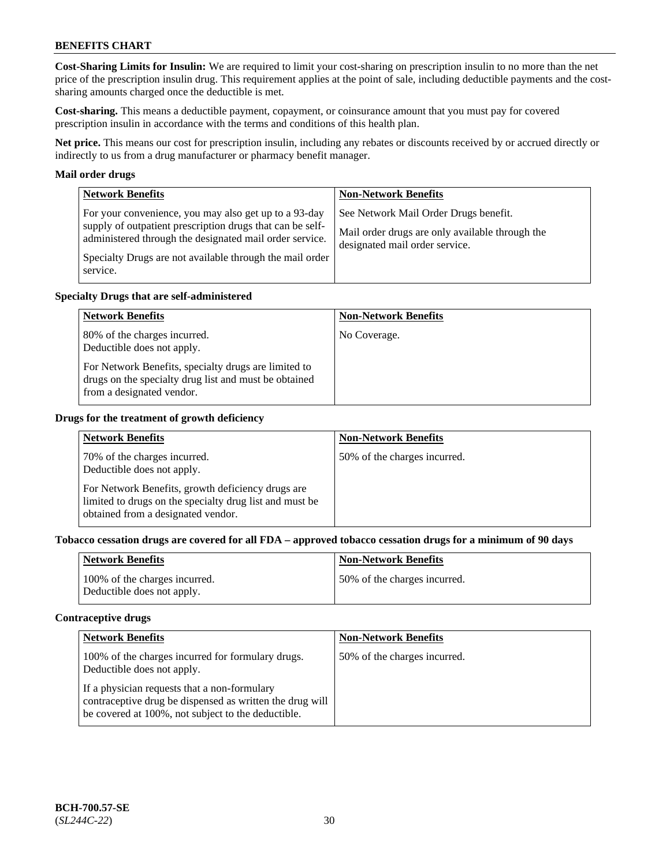**Cost-Sharing Limits for Insulin:** We are required to limit your cost-sharing on prescription insulin to no more than the net price of the prescription insulin drug. This requirement applies at the point of sale, including deductible payments and the costsharing amounts charged once the deductible is met.

**Cost-sharing.** This means a deductible payment, copayment, or coinsurance amount that you must pay for covered prescription insulin in accordance with the terms and conditions of this health plan.

**Net price.** This means our cost for prescription insulin, including any rebates or discounts received by or accrued directly or indirectly to us from a drug manufacturer or pharmacy benefit manager.

### **Mail order drugs**

| <b>Network Benefits</b>                                                                                                                                                                                                                               | <b>Non-Network Benefits</b>                                                                                                |
|-------------------------------------------------------------------------------------------------------------------------------------------------------------------------------------------------------------------------------------------------------|----------------------------------------------------------------------------------------------------------------------------|
| For your convenience, you may also get up to a 93-day<br>supply of outpatient prescription drugs that can be self-<br>administered through the designated mail order service.<br>Specialty Drugs are not available through the mail order<br>service. | See Network Mail Order Drugs benefit.<br>Mail order drugs are only available through the<br>designated mail order service. |

### **Specialty Drugs that are self-administered**

| <b>Network Benefits</b>                                                                                                                                                                                  | <b>Non-Network Benefits</b> |
|----------------------------------------------------------------------------------------------------------------------------------------------------------------------------------------------------------|-----------------------------|
| 80% of the charges incurred.<br>Deductible does not apply.<br>For Network Benefits, specialty drugs are limited to<br>drugs on the specialty drug list and must be obtained<br>from a designated vendor. | No Coverage.                |

### **Drugs for the treatment of growth deficiency**

| <b>Network Benefits</b>                                                                                                                            | <b>Non-Network Benefits</b>  |
|----------------------------------------------------------------------------------------------------------------------------------------------------|------------------------------|
| 70% of the charges incurred.<br>Deductible does not apply.                                                                                         | 50% of the charges incurred. |
| For Network Benefits, growth deficiency drugs are<br>limited to drugs on the specialty drug list and must be<br>obtained from a designated vendor. |                              |

#### **Tobacco cessation drugs are covered for all FDA – approved tobacco cessation drugs for a minimum of 90 days**

| <b>Network Benefits</b>                                     | <b>Non-Network Benefits</b>  |
|-------------------------------------------------------------|------------------------------|
| 100% of the charges incurred.<br>Deductible does not apply. | 50% of the charges incurred. |

#### **Contraceptive drugs**

| <b>Network Benefits</b>                                                                                                                                        | <b>Non-Network Benefits</b>  |
|----------------------------------------------------------------------------------------------------------------------------------------------------------------|------------------------------|
| 100% of the charges incurred for formulary drugs.<br>Deductible does not apply.                                                                                | 50% of the charges incurred. |
| If a physician requests that a non-formulary<br>contraceptive drug be dispensed as written the drug will<br>be covered at 100%, not subject to the deductible. |                              |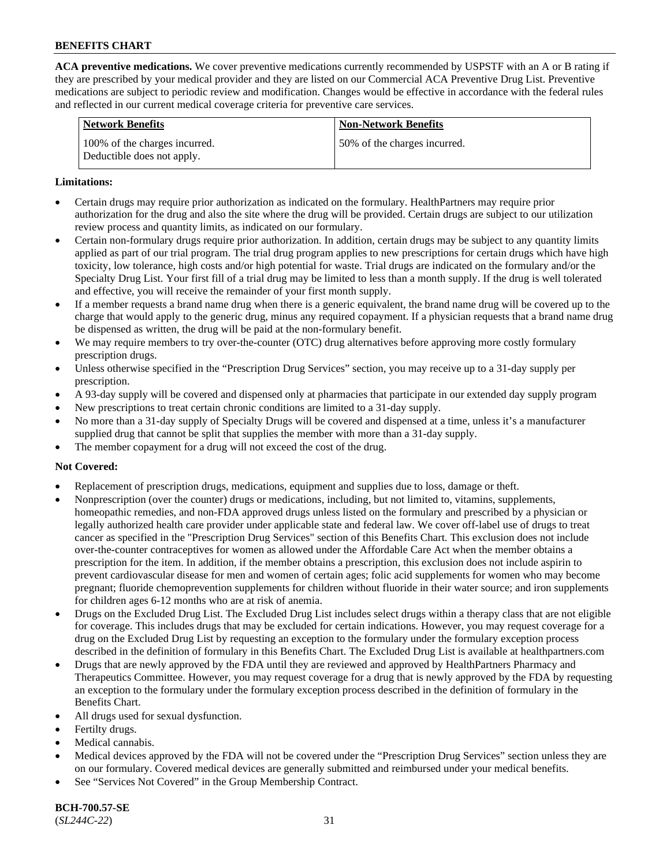**ACA preventive medications.** We cover preventive medications currently recommended by USPSTF with an A or B rating if they are prescribed by your medical provider and they are listed on our Commercial ACA Preventive Drug List. Preventive medications are subject to periodic review and modification. Changes would be effective in accordance with the federal rules and reflected in our current medical coverage criteria for preventive care services.

| <b>Network Benefits</b>                                     | <b>Non-Network Benefits</b>  |
|-------------------------------------------------------------|------------------------------|
| 100% of the charges incurred.<br>Deductible does not apply. | 50% of the charges incurred. |

## **Limitations:**

- Certain drugs may require prior authorization as indicated on the formulary. HealthPartners may require prior authorization for the drug and also the site where the drug will be provided. Certain drugs are subject to our utilization review process and quantity limits, as indicated on our formulary.
- Certain non-formulary drugs require prior authorization. In addition, certain drugs may be subject to any quantity limits applied as part of our trial program. The trial drug program applies to new prescriptions for certain drugs which have high toxicity, low tolerance, high costs and/or high potential for waste. Trial drugs are indicated on the formulary and/or the Specialty Drug List. Your first fill of a trial drug may be limited to less than a month supply. If the drug is well tolerated and effective, you will receive the remainder of your first month supply.
- If a member requests a brand name drug when there is a generic equivalent, the brand name drug will be covered up to the charge that would apply to the generic drug, minus any required copayment. If a physician requests that a brand name drug be dispensed as written, the drug will be paid at the non-formulary benefit.
- We may require members to try over-the-counter (OTC) drug alternatives before approving more costly formulary prescription drugs.
- Unless otherwise specified in the "Prescription Drug Services" section, you may receive up to a 31-day supply per prescription.
- A 93-day supply will be covered and dispensed only at pharmacies that participate in our extended day supply program
- New prescriptions to treat certain chronic conditions are limited to a 31-day supply.
- No more than a 31-day supply of Specialty Drugs will be covered and dispensed at a time, unless it's a manufacturer supplied drug that cannot be split that supplies the member with more than a 31-day supply.
- The member copayment for a drug will not exceed the cost of the drug.

## **Not Covered:**

- Replacement of prescription drugs, medications, equipment and supplies due to loss, damage or theft.
- Nonprescription (over the counter) drugs or medications, including, but not limited to, vitamins, supplements, homeopathic remedies, and non-FDA approved drugs unless listed on the formulary and prescribed by a physician or legally authorized health care provider under applicable state and federal law. We cover off-label use of drugs to treat cancer as specified in the "Prescription Drug Services" section of this Benefits Chart. This exclusion does not include over-the-counter contraceptives for women as allowed under the Affordable Care Act when the member obtains a prescription for the item. In addition, if the member obtains a prescription, this exclusion does not include aspirin to prevent cardiovascular disease for men and women of certain ages; folic acid supplements for women who may become pregnant; fluoride chemoprevention supplements for children without fluoride in their water source; and iron supplements for children ages 6-12 months who are at risk of anemia.
- Drugs on the Excluded Drug List. The Excluded Drug List includes select drugs within a therapy class that are not eligible for coverage. This includes drugs that may be excluded for certain indications. However, you may request coverage for a drug on the Excluded Drug List by requesting an exception to the formulary under the formulary exception process described in the definition of formulary in this Benefits Chart. The Excluded Drug List is available at [healthpartners.com](http://www.healthpartners.com/)
- Drugs that are newly approved by the FDA until they are reviewed and approved by HealthPartners Pharmacy and Therapeutics Committee. However, you may request coverage for a drug that is newly approved by the FDA by requesting an exception to the formulary under the formulary exception process described in the definition of formulary in the Benefits Chart.
- All drugs used for sexual dysfunction.
- Fertilty drugs.
- Medical cannabis.
- Medical devices approved by the FDA will not be covered under the "Prescription Drug Services" section unless they are on our formulary. Covered medical devices are generally submitted and reimbursed under your medical benefits.
- See "Services Not Covered" in the Group Membership Contract.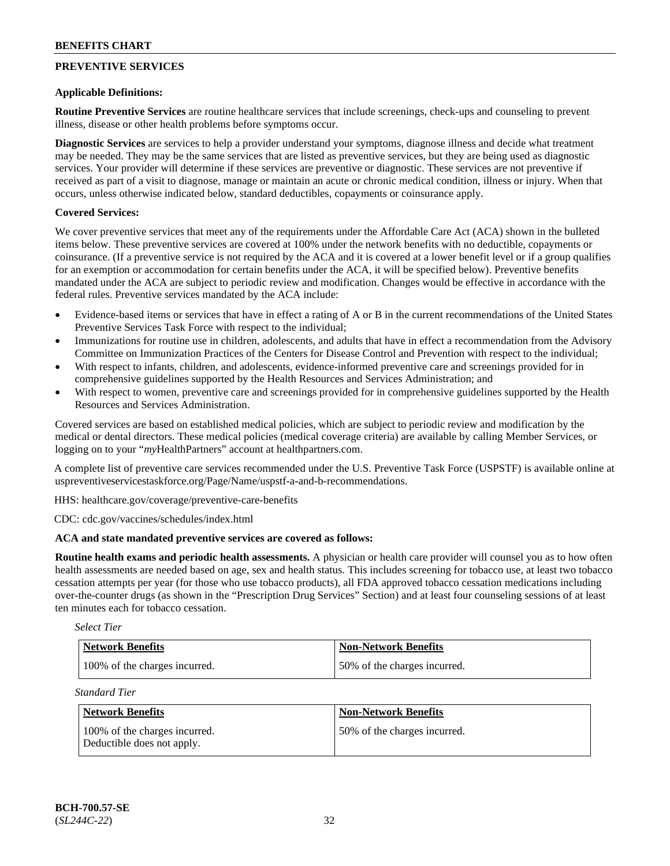## **PREVENTIVE SERVICES**

## **Applicable Definitions:**

**Routine Preventive Services** are routine healthcare services that include screenings, check-ups and counseling to prevent illness, disease or other health problems before symptoms occur.

**Diagnostic Services** are services to help a provider understand your symptoms, diagnose illness and decide what treatment may be needed. They may be the same services that are listed as preventive services, but they are being used as diagnostic services. Your provider will determine if these services are preventive or diagnostic. These services are not preventive if received as part of a visit to diagnose, manage or maintain an acute or chronic medical condition, illness or injury. When that occurs, unless otherwise indicated below, standard deductibles, copayments or coinsurance apply.

## **Covered Services:**

We cover preventive services that meet any of the requirements under the Affordable Care Act (ACA) shown in the bulleted items below. These preventive services are covered at 100% under the network benefits with no deductible, copayments or coinsurance. (If a preventive service is not required by the ACA and it is covered at a lower benefit level or if a group qualifies for an exemption or accommodation for certain benefits under the ACA, it will be specified below). Preventive benefits mandated under the ACA are subject to periodic review and modification. Changes would be effective in accordance with the federal rules. Preventive services mandated by the ACA include:

- Evidence-based items or services that have in effect a rating of A or B in the current recommendations of the United States Preventive Services Task Force with respect to the individual;
- Immunizations for routine use in children, adolescents, and adults that have in effect a recommendation from the Advisory Committee on Immunization Practices of the Centers for Disease Control and Prevention with respect to the individual;
- With respect to infants, children, and adolescents, evidence-informed preventive care and screenings provided for in comprehensive guidelines supported by the Health Resources and Services Administration; and
- With respect to women, preventive care and screenings provided for in comprehensive guidelines supported by the Health Resources and Services Administration.

Covered services are based on established medical policies, which are subject to periodic review and modification by the medical or dental directors. These medical policies (medical coverage criteria) are available by calling Member Services, or logging on to your "*my*HealthPartners" account at [healthpartners.com.](http://www.healthpartners.com/)

A complete list of preventive care services recommended under the U.S. Preventive Task Force (USPSTF) is available online at [uspreventiveservicestaskforce.org/Page/Name/uspstf-a-and-b-recommendations.](https://www.uspreventiveservicestaskforce.org/Page/Name/uspstf-a-and-b-recommendations-by-date/)

HHS: [healthcare.gov/coverage/preventive-care-benefits](https://www.healthcare.gov/coverage/preventive-care-benefits/)

CDC: [cdc.gov/vaccines/schedules/index.html](https://www.cdc.gov/vaccines/schedules/index.html)

## **ACA and state mandated preventive services are covered as follows:**

**Routine health exams and periodic health assessments.** A physician or health care provider will counsel you as to how often health assessments are needed based on age, sex and health status. This includes screening for tobacco use, at least two tobacco cessation attempts per year (for those who use tobacco products), all FDA approved tobacco cessation medications including over-the-counter drugs (as shown in the "Prescription Drug Services" Section) and at least four counseling sessions of at least ten minutes each for tobacco cessation.

*Select Tier*

| Network Benefits              | <b>Non-Network Benefits</b>  |
|-------------------------------|------------------------------|
| 100% of the charges incurred. | 50% of the charges incurred. |

*Standard Tier*

| Network Benefits                                            | <b>Non-Network Benefits</b>  |
|-------------------------------------------------------------|------------------------------|
| 100% of the charges incurred.<br>Deductible does not apply. | 50% of the charges incurred. |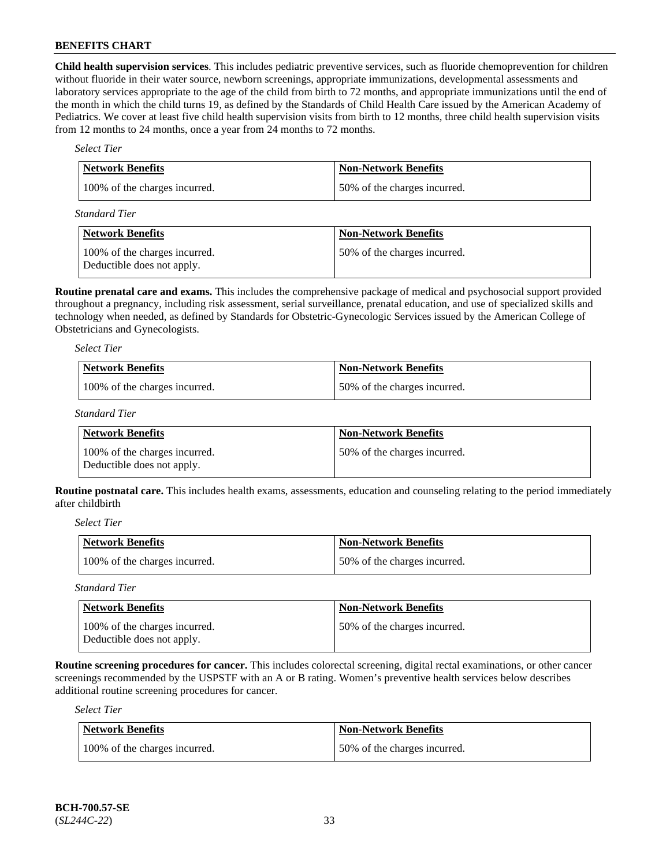**Child health supervision services**. This includes pediatric preventive services, such as fluoride chemoprevention for children without fluoride in their water source, newborn screenings, appropriate immunizations, developmental assessments and laboratory services appropriate to the age of the child from birth to 72 months, and appropriate immunizations until the end of the month in which the child turns 19, as defined by the Standards of Child Health Care issued by the American Academy of Pediatrics. We cover at least five child health supervision visits from birth to 12 months, three child health supervision visits from 12 months to 24 months, once a year from 24 months to 72 months.

### *Select Tier*

| <b>Network Benefits</b>       | Non-Network Benefits         |
|-------------------------------|------------------------------|
| 100% of the charges incurred. | 50% of the charges incurred. |

*Standard Tier*

| Network Benefits                                            | <b>Non-Network Benefits</b>  |
|-------------------------------------------------------------|------------------------------|
| 100% of the charges incurred.<br>Deductible does not apply. | 50% of the charges incurred. |

**Routine prenatal care and exams.** This includes the comprehensive package of medical and psychosocial support provided throughout a pregnancy, including risk assessment, serial surveillance, prenatal education, and use of specialized skills and technology when needed, as defined by Standards for Obstetric-Gynecologic Services issued by the American College of Obstetricians and Gynecologists.

*Select Tier*

| <b>Network Benefits</b>       | <b>Non-Network Benefits</b>  |
|-------------------------------|------------------------------|
| 100% of the charges incurred. | 50% of the charges incurred. |

*Standard Tier*

| Network Benefits                                            | <b>Non-Network Benefits</b>  |
|-------------------------------------------------------------|------------------------------|
| 100% of the charges incurred.<br>Deductible does not apply. | 50% of the charges incurred. |

**Routine postnatal care.** This includes health exams, assessments, education and counseling relating to the period immediately after childbirth

*Select Tier*

| <b>Network Benefits</b>       | <b>Non-Network Benefits</b>   |
|-------------------------------|-------------------------------|
| 100% of the charges incurred. | 150% of the charges incurred. |

*Standard Tier*

| <b>Network Benefits</b>                                     | <b>Non-Network Benefits</b>  |
|-------------------------------------------------------------|------------------------------|
| 100% of the charges incurred.<br>Deductible does not apply. | 50% of the charges incurred. |

**Routine screening procedures for cancer.** This includes colorectal screening, digital rectal examinations, or other cancer screenings recommended by the USPSTF with an A or B rating. Women's preventive health services below describes additional routine screening procedures for cancer.

*Select Tier*

| <b>Network Benefits</b>       | <b>Non-Network Benefits</b>  |
|-------------------------------|------------------------------|
| 100% of the charges incurred. | 50% of the charges incurred. |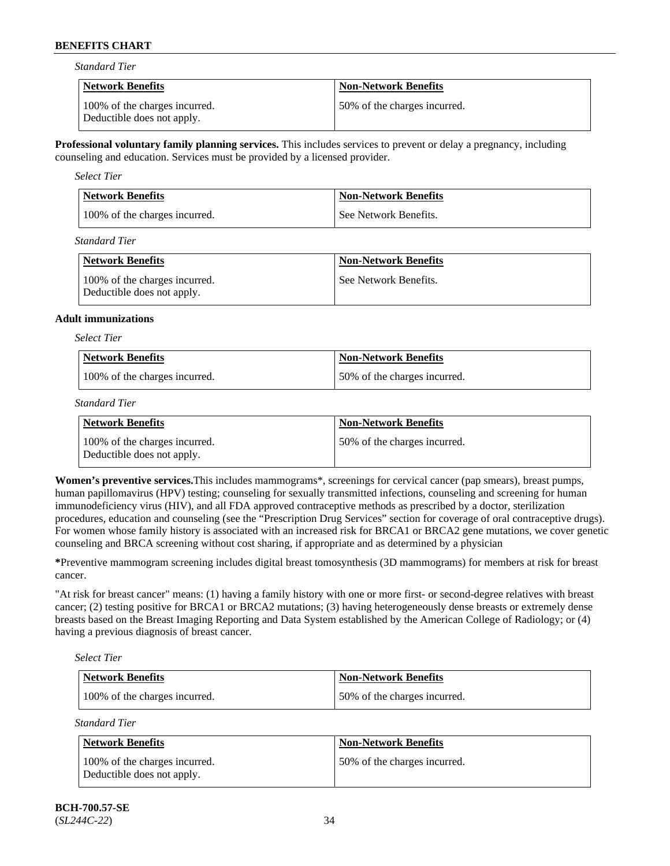*Standard Tier*

| <b>Network Benefits</b>                                     | <b>Non-Network Benefits</b>  |
|-------------------------------------------------------------|------------------------------|
| 100% of the charges incurred.<br>Deductible does not apply. | 50% of the charges incurred. |

**Professional voluntary family planning services.** This includes services to prevent or delay a pregnancy, including counseling and education. Services must be provided by a licensed provider.

*Select Tier*

| <b>Network Benefits</b>       | <b>Non-Network Benefits</b> |
|-------------------------------|-----------------------------|
| 100% of the charges incurred. | See Network Benefits.       |

*Standard Tier*

| Network Benefits                                            | <b>Non-Network Benefits</b> |
|-------------------------------------------------------------|-----------------------------|
| 100% of the charges incurred.<br>Deductible does not apply. | See Network Benefits.       |

### **Adult immunizations**

*Select Tier*

| <b>Network Benefits</b>       | <b>Non-Network Benefits</b>  |
|-------------------------------|------------------------------|
| 100% of the charges incurred. | 50% of the charges incurred. |

*Standard Tier*

| <b>Network Benefits</b>                                     | <b>Non-Network Benefits</b>  |
|-------------------------------------------------------------|------------------------------|
| 100% of the charges incurred.<br>Deductible does not apply. | 50% of the charges incurred. |

**Women's preventive services.**This includes mammograms\*, screenings for cervical cancer (pap smears), breast pumps, human papillomavirus (HPV) testing; counseling for sexually transmitted infections, counseling and screening for human immunodeficiency virus (HIV), and all FDA approved contraceptive methods as prescribed by a doctor, sterilization procedures, education and counseling (see the "Prescription Drug Services" section for coverage of oral contraceptive drugs). For women whose family history is associated with an increased risk for BRCA1 or BRCA2 gene mutations, we cover genetic counseling and BRCA screening without cost sharing, if appropriate and as determined by a physician

**\***Preventive mammogram screening includes digital breast tomosynthesis (3D mammograms) for members at risk for breast cancer.

"At risk for breast cancer" means: (1) having a family history with one or more first- or second-degree relatives with breast cancer; (2) testing positive for BRCA1 or BRCA2 mutations; (3) having heterogeneously dense breasts or extremely dense breasts based on the Breast Imaging Reporting and Data System established by the American College of Radiology; or (4) having a previous diagnosis of breast cancer.

*Select Tier*

| Network Benefits              | <b>Non-Network Benefits</b>  |
|-------------------------------|------------------------------|
| 100% of the charges incurred. | 50% of the charges incurred. |

*Standard Tier*

| Network Benefits                                            | <b>Non-Network Benefits</b>   |
|-------------------------------------------------------------|-------------------------------|
| 100% of the charges incurred.<br>Deductible does not apply. | 150% of the charges incurred. |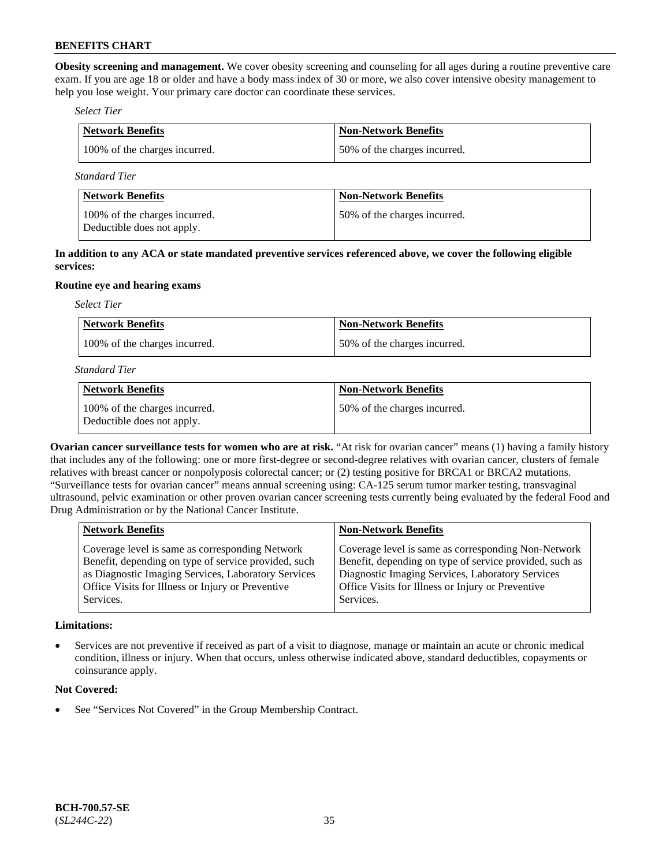**Obesity screening and management.** We cover obesity screening and counseling for all ages during a routine preventive care exam. If you are age 18 or older and have a body mass index of 30 or more, we also cover intensive obesity management to help you lose weight. Your primary care doctor can coordinate these services.

#### *Select Tier*

| <b>Network Benefits</b>       | <b>Non-Network Benefits</b>  |
|-------------------------------|------------------------------|
| 100% of the charges incurred. | 50% of the charges incurred. |
|                               |                              |

*Standard Tier*

| Network Benefits                                            | <b>Non-Network Benefits</b>  |
|-------------------------------------------------------------|------------------------------|
| 100% of the charges incurred.<br>Deductible does not apply. | 50% of the charges incurred. |

**In addition to any ACA or state mandated preventive services referenced above, we cover the following eligible services:**

### **Routine eye and hearing exams**

*Select Tier*

| Network Benefits              | <b>Non-Network Benefits</b>  |
|-------------------------------|------------------------------|
| 100% of the charges incurred. | 50% of the charges incurred. |

*Standard Tier*

| Network Benefits                                            | <b>Non-Network Benefits</b>  |
|-------------------------------------------------------------|------------------------------|
| 100% of the charges incurred.<br>Deductible does not apply. | 50% of the charges incurred. |

**Ovarian cancer surveillance tests for women who are at risk.** "At risk for ovarian cancer" means (1) having a family history that includes any of the following: one or more first-degree or second-degree relatives with ovarian cancer, clusters of female relatives with breast cancer or nonpolyposis colorectal cancer; or (2) testing positive for BRCA1 or BRCA2 mutations. "Surveillance tests for ovarian cancer" means annual screening using: CA-125 serum tumor marker testing, transvaginal ultrasound, pelvic examination or other proven ovarian cancer screening tests currently being evaluated by the federal Food and Drug Administration or by the National Cancer Institute.

| <b>Network Benefits</b>                              | <b>Non-Network Benefits</b>                             |
|------------------------------------------------------|---------------------------------------------------------|
| Coverage level is same as corresponding Network      | Coverage level is same as corresponding Non-Network     |
| Benefit, depending on type of service provided, such | Benefit, depending on type of service provided, such as |
| as Diagnostic Imaging Services, Laboratory Services  | Diagnostic Imaging Services, Laboratory Services        |
| Office Visits for Illness or Injury or Preventive    | Office Visits for Illness or Injury or Preventive       |
| Services.                                            | Services.                                               |

## **Limitations:**

• Services are not preventive if received as part of a visit to diagnose, manage or maintain an acute or chronic medical condition, illness or injury. When that occurs, unless otherwise indicated above, standard deductibles, copayments or coinsurance apply.

## **Not Covered:**

See "Services Not Covered" in the Group Membership Contract.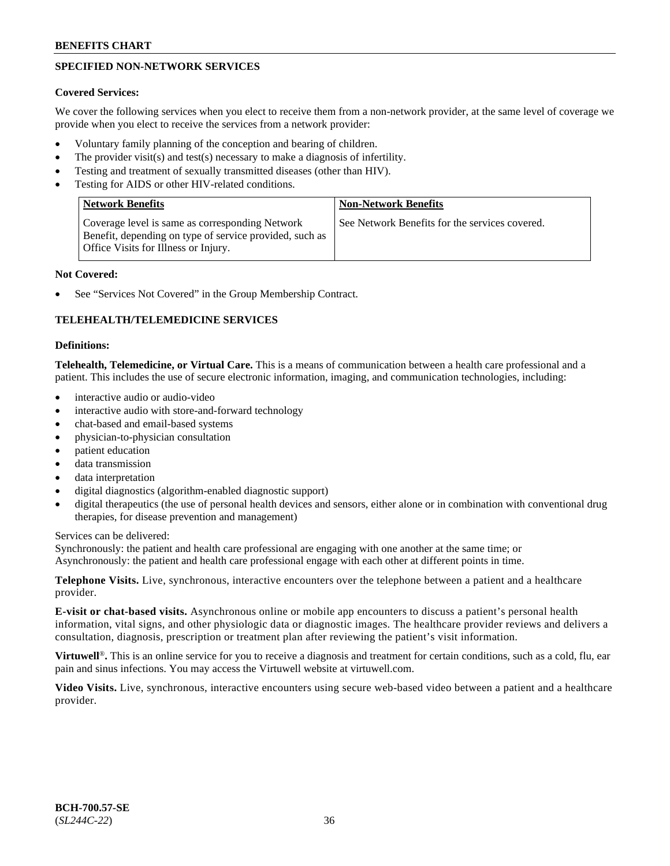## **SPECIFIED NON-NETWORK SERVICES**

## **Covered Services:**

We cover the following services when you elect to receive them from a non-network provider, at the same level of coverage we provide when you elect to receive the services from a network provider:

- Voluntary family planning of the conception and bearing of children.
- The provider visit(s) and test(s) necessary to make a diagnosis of infertility.
- Testing and treatment of sexually transmitted diseases (other than HIV).
- Testing for AIDS or other HIV-related conditions.

| <b>Network Benefits</b>                                                                                                                                   | <b>Non-Network Benefits</b>                    |
|-----------------------------------------------------------------------------------------------------------------------------------------------------------|------------------------------------------------|
| Coverage level is same as corresponding Network<br>Benefit, depending on type of service provided, such as<br><b>Office Visits for Illness or Injury.</b> | See Network Benefits for the services covered. |

## **Not Covered:**

See "Services Not Covered" in the Group Membership Contract.

## **TELEHEALTH/TELEMEDICINE SERVICES**

## **Definitions:**

**Telehealth, Telemedicine, or Virtual Care.** This is a means of communication between a health care professional and a patient. This includes the use of secure electronic information, imaging, and communication technologies, including:

- interactive audio or audio-video
- interactive audio with store-and-forward technology
- chat-based and email-based systems
- physician-to-physician consultation
- patient education
- data transmission
- data interpretation
- digital diagnostics (algorithm-enabled diagnostic support)
- digital therapeutics (the use of personal health devices and sensors, either alone or in combination with conventional drug therapies, for disease prevention and management)

## Services can be delivered:

Synchronously: the patient and health care professional are engaging with one another at the same time; or Asynchronously: the patient and health care professional engage with each other at different points in time.

**Telephone Visits.** Live, synchronous, interactive encounters over the telephone between a patient and a healthcare provider.

**E-visit or chat-based visits.** Asynchronous online or mobile app encounters to discuss a patient's personal health information, vital signs, and other physiologic data or diagnostic images. The healthcare provider reviews and delivers a consultation, diagnosis, prescription or treatment plan after reviewing the patient's visit information.

**Virtuwell<sup>®</sup>**. This is an online service for you to receive a diagnosis and treatment for certain conditions, such as a cold, flu, ear pain and sinus infections. You may access the Virtuwell website at [virtuwell.com.](https://www.virtuwell.com/)

**Video Visits.** Live, synchronous, interactive encounters using secure web-based video between a patient and a healthcare provider.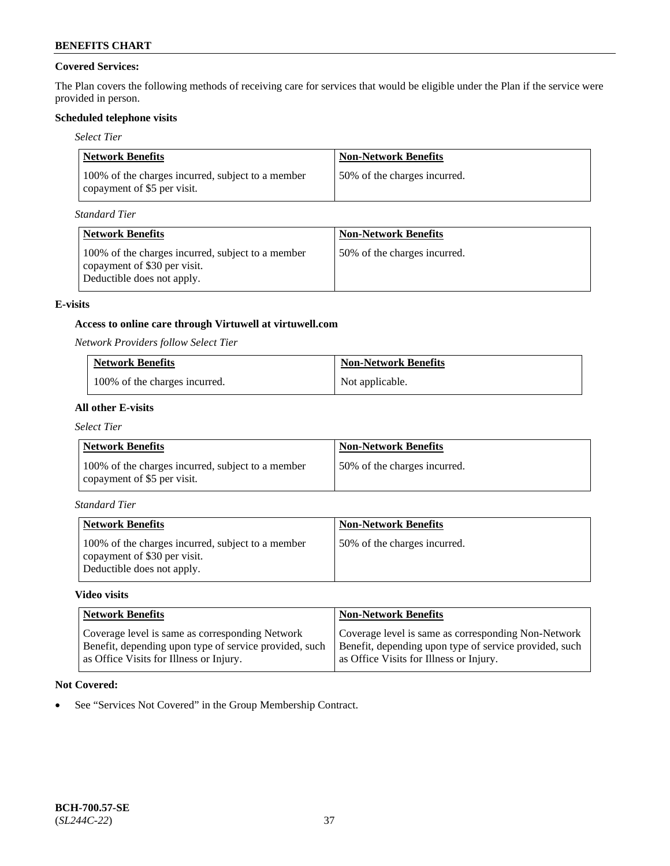## **Covered Services:**

The Plan covers the following methods of receiving care for services that would be eligible under the Plan if the service were provided in person.

## **Scheduled telephone visits**

### *Select Tier*

| Network Benefits                                                                 | <b>Non-Network Benefits</b>  |
|----------------------------------------------------------------------------------|------------------------------|
| 100% of the charges incurred, subject to a member<br>copayment of \$5 per visit. | 50% of the charges incurred. |

*Standard Tier*

| <b>Network Benefits</b>                                                                                         | <b>Non-Network Benefits</b>  |
|-----------------------------------------------------------------------------------------------------------------|------------------------------|
| 100% of the charges incurred, subject to a member<br>copayment of \$30 per visit.<br>Deductible does not apply. | 50% of the charges incurred. |

### **E-visits**

## **Access to online care through Virtuwell at [virtuwell.com](https://www.virtuwell.com/)**

*Network Providers follow Select Tier*

| <b>Network Benefits</b>       | <b>Non-Network Benefits</b> |
|-------------------------------|-----------------------------|
| 100% of the charges incurred. | Not applicable.             |

## **All other E-visits**

*Select Tier*

| Network Benefits                                                                 | <b>Non-Network Benefits</b>   |
|----------------------------------------------------------------------------------|-------------------------------|
| 100% of the charges incurred, subject to a member<br>copayment of \$5 per visit. | 150% of the charges incurred. |

*Standard Tier*

| <b>Network Benefits</b>                                                                                         | <b>Non-Network Benefits</b>  |
|-----------------------------------------------------------------------------------------------------------------|------------------------------|
| 100% of the charges incurred, subject to a member<br>copayment of \$30 per visit.<br>Deductible does not apply. | 50% of the charges incurred. |

## **Video visits**

| <b>Network Benefits</b>                                                                                                                              | <b>Non-Network Benefits</b>                                                                                                                              |
|------------------------------------------------------------------------------------------------------------------------------------------------------|----------------------------------------------------------------------------------------------------------------------------------------------------------|
| Coverage level is same as corresponding Network<br>Benefit, depending upon type of service provided, such<br>as Office Visits for Illness or Injury. | Coverage level is same as corresponding Non-Network<br>Benefit, depending upon type of service provided, such<br>as Office Visits for Illness or Injury. |

## **Not Covered:**

• See "Services Not Covered" in the Group Membership Contract.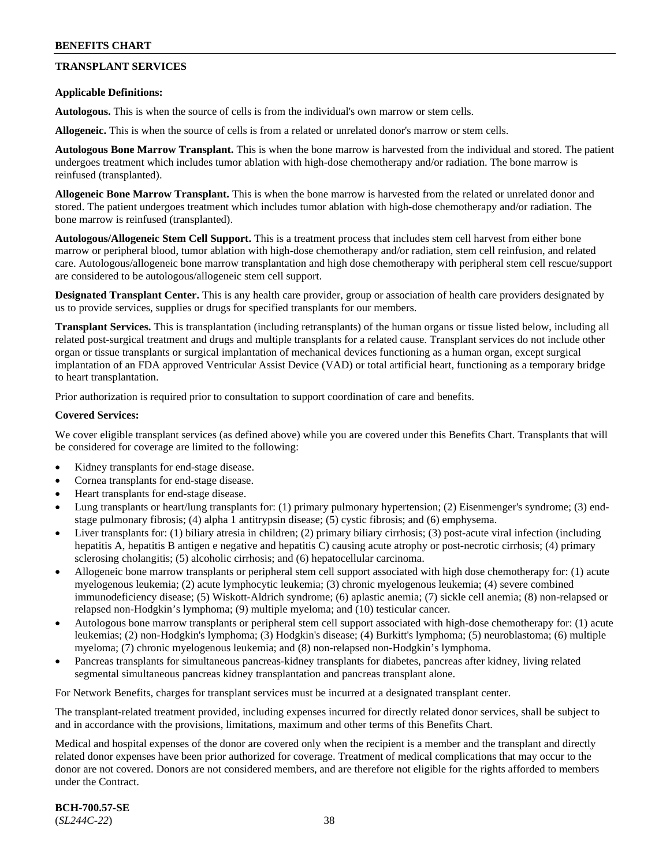## **TRANSPLANT SERVICES**

### **Applicable Definitions:**

**Autologous.** This is when the source of cells is from the individual's own marrow or stem cells.

**Allogeneic.** This is when the source of cells is from a related or unrelated donor's marrow or stem cells.

**Autologous Bone Marrow Transplant.** This is when the bone marrow is harvested from the individual and stored. The patient undergoes treatment which includes tumor ablation with high-dose chemotherapy and/or radiation. The bone marrow is reinfused (transplanted).

**Allogeneic Bone Marrow Transplant.** This is when the bone marrow is harvested from the related or unrelated donor and stored. The patient undergoes treatment which includes tumor ablation with high-dose chemotherapy and/or radiation. The bone marrow is reinfused (transplanted).

**Autologous/Allogeneic Stem Cell Support.** This is a treatment process that includes stem cell harvest from either bone marrow or peripheral blood, tumor ablation with high-dose chemotherapy and/or radiation, stem cell reinfusion, and related care. Autologous/allogeneic bone marrow transplantation and high dose chemotherapy with peripheral stem cell rescue/support are considered to be autologous/allogeneic stem cell support.

**Designated Transplant Center.** This is any health care provider, group or association of health care providers designated by us to provide services, supplies or drugs for specified transplants for our members.

**Transplant Services.** This is transplantation (including retransplants) of the human organs or tissue listed below, including all related post-surgical treatment and drugs and multiple transplants for a related cause. Transplant services do not include other organ or tissue transplants or surgical implantation of mechanical devices functioning as a human organ, except surgical implantation of an FDA approved Ventricular Assist Device (VAD) or total artificial heart, functioning as a temporary bridge to heart transplantation.

Prior authorization is required prior to consultation to support coordination of care and benefits.

### **Covered Services:**

We cover eligible transplant services (as defined above) while you are covered under this Benefits Chart. Transplants that will be considered for coverage are limited to the following:

- Kidney transplants for end-stage disease.
- Cornea transplants for end-stage disease.
- Heart transplants for end-stage disease.
- Lung transplants or heart/lung transplants for: (1) primary pulmonary hypertension; (2) Eisenmenger's syndrome; (3) endstage pulmonary fibrosis; (4) alpha 1 antitrypsin disease; (5) cystic fibrosis; and (6) emphysema.
- Liver transplants for: (1) biliary atresia in children; (2) primary biliary cirrhosis; (3) post-acute viral infection (including hepatitis A, hepatitis B antigen e negative and hepatitis C) causing acute atrophy or post-necrotic cirrhosis; (4) primary sclerosing cholangitis; (5) alcoholic cirrhosis; and (6) hepatocellular carcinoma.
- Allogeneic bone marrow transplants or peripheral stem cell support associated with high dose chemotherapy for: (1) acute myelogenous leukemia; (2) acute lymphocytic leukemia; (3) chronic myelogenous leukemia; (4) severe combined immunodeficiency disease; (5) Wiskott-Aldrich syndrome; (6) aplastic anemia; (7) sickle cell anemia; (8) non-relapsed or relapsed non-Hodgkin's lymphoma; (9) multiple myeloma; and (10) testicular cancer.
- Autologous bone marrow transplants or peripheral stem cell support associated with high-dose chemotherapy for: (1) acute leukemias; (2) non-Hodgkin's lymphoma; (3) Hodgkin's disease; (4) Burkitt's lymphoma; (5) neuroblastoma; (6) multiple myeloma; (7) chronic myelogenous leukemia; and (8) non-relapsed non-Hodgkin's lymphoma.
- Pancreas transplants for simultaneous pancreas-kidney transplants for diabetes, pancreas after kidney, living related segmental simultaneous pancreas kidney transplantation and pancreas transplant alone.

For Network Benefits, charges for transplant services must be incurred at a designated transplant center.

The transplant-related treatment provided, including expenses incurred for directly related donor services, shall be subject to and in accordance with the provisions, limitations, maximum and other terms of this Benefits Chart.

Medical and hospital expenses of the donor are covered only when the recipient is a member and the transplant and directly related donor expenses have been prior authorized for coverage. Treatment of medical complications that may occur to the donor are not covered. Donors are not considered members, and are therefore not eligible for the rights afforded to members under the Contract.